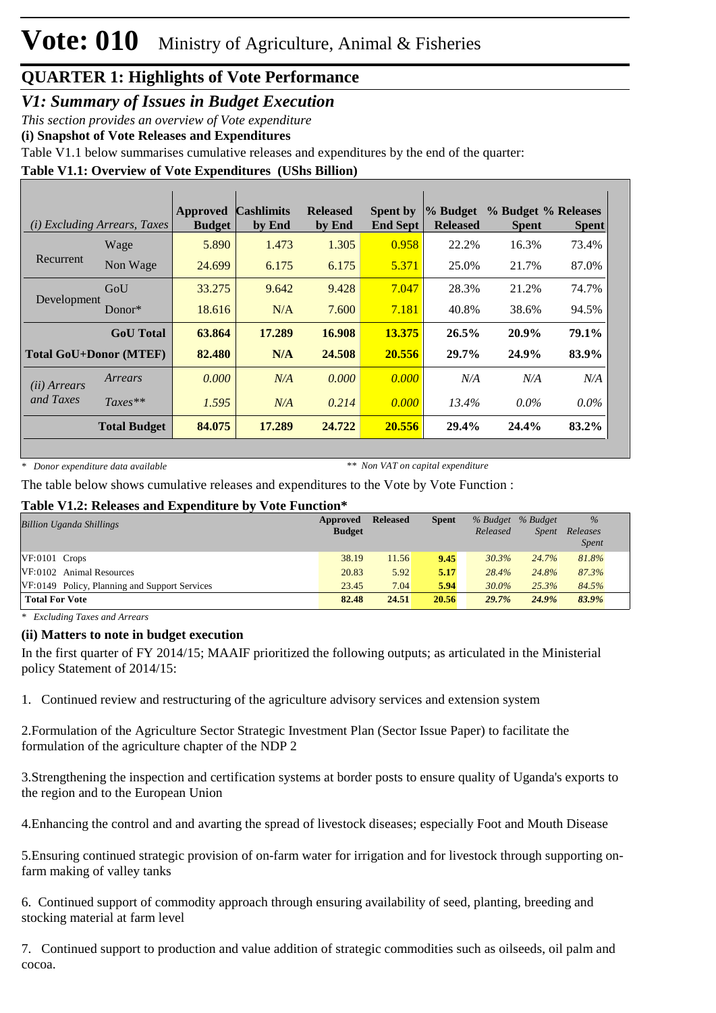*V1: Summary of Issues in Budget Execution*

*This section provides an overview of Vote expenditure* 

**(i) Snapshot of Vote Releases and Expenditures**

Table V1.1 below summarises cumulative releases and expenditures by the end of the quarter:

**Table V1.1: Overview of Vote Expenditures (UShs Billion)**

|                       | ( <i>i</i> ) Excluding Arrears, Taxes | <b>Approved</b><br><b>Budget</b> | <b>Cashlimits</b><br>by End | <b>Released</b><br>by End | <b>Spent by</b><br><b>End Sept</b> | $\%$ Budget<br><b>Released</b> | % Budget % Releases<br><b>Spent</b> | <b>Spent</b> |
|-----------------------|---------------------------------------|----------------------------------|-----------------------------|---------------------------|------------------------------------|--------------------------------|-------------------------------------|--------------|
|                       | Wage                                  | 5.890                            | 1.473                       | 1.305                     | 0.958                              | 22.2%                          | 16.3%                               | 73.4%        |
| Recurrent             | Non Wage                              | 24.699                           | 6.175                       | 6.175                     | 5.371                              | 25.0%                          | 21.7%                               | 87.0%        |
|                       | GoU                                   | 33.275                           | 9.642                       | 9.428                     | 7.047                              | 28.3%                          | 21.2%                               | 74.7%        |
| Development           | Donor $*$                             | 18.616                           | N/A                         | 7.600                     | 7.181                              | 40.8%                          | 38.6%                               | 94.5%        |
|                       | <b>GoU</b> Total                      | 63.864                           | 17.289                      | 16.908                    | 13.375                             | 26.5%                          | 20.9%                               | 79.1%        |
|                       | <b>Total GoU+Donor (MTEF)</b>         | 82.480                           | N/A                         | 24.508                    | 20.556                             | 29.7%                          | 24.9%                               | 83.9%        |
| ( <i>ii</i> ) Arrears | Arrears                               | 0.000                            | N/A                         | 0.000                     | 0.000                              | N/A                            | N/A                                 | N/A          |
| and Taxes             | $Taxes**$                             | 1.595                            | N/A                         | 0.214                     | 0.000                              | 13.4%                          | $0.0\%$                             | $0.0\%$      |
|                       | <b>Total Budget</b>                   | 84.075                           | 17.289                      | 24.722                    | 20.556                             | 29.4%                          | 24.4%                               | 83.2%        |

*\* Donor expenditure data available*

*\*\* Non VAT on capital expenditure*

The table below shows cumulative releases and expenditures to the Vote by Vote Function :

#### **Table V1.2: Releases and Expenditure by Vote Function\***

| <b>Billion Uganda Shillings</b>               | Approved<br><b>Budget</b> | <b>Released</b> | <b>Spent</b> | Released | % Budget % Budget<br><i>Spent</i> | $\%$<br>Releases<br><b>Spent</b> |
|-----------------------------------------------|---------------------------|-----------------|--------------|----------|-----------------------------------|----------------------------------|
| $VF:0101$ Crops                               | 38.19                     | 11.56           | 9.45         | 30.3%    | 24.7%                             | 81.8%                            |
| VF:0102 Animal Resources                      | 20.83                     | 5.92            | 5.17         | 28.4%    | 24.8%                             | 87.3%                            |
| VF:0149 Policy, Planning and Support Services | 23.45                     | 7.04            | 5.94         | 30.0%    | 25.3%                             | 84.5%                            |
| <b>Total For Vote</b>                         | 82.48                     | 24.51           | 20.56        | 29.7%    | 24.9%                             | 83.9%                            |

*\* Excluding Taxes and Arrears*

#### **(ii) Matters to note in budget execution**

In the first quarter of FY 2014/15; MAAIF prioritized the following outputs; as articulated in the Ministerial policy Statement of 2014/15:

1. Continued review and restructuring of the agriculture advisory services and extension system

2. Formulation of the Agriculture Sector Strategic Investment Plan (Sector Issue Paper) to facilitate the formulation of the agriculture chapter of the NDP 2

3. Strengthening the inspection and certification systems at border posts to ensure quality of Uganda's exports to the region and to the European Union

4. Enhancing the control and and avarting the spread of livestock diseases; especially Foot and Mouth Disease

5. Ensuring continued strategic provision of on-farm water for irrigation and for livestock through supporting onfarm making of valley tanks

6. Continued support of commodity approach through ensuring availability of seed, planting, breeding and stocking material at farm level

7. Continued support to production and value addition of strategic commodities such as oilseeds, oil palm and cocoa.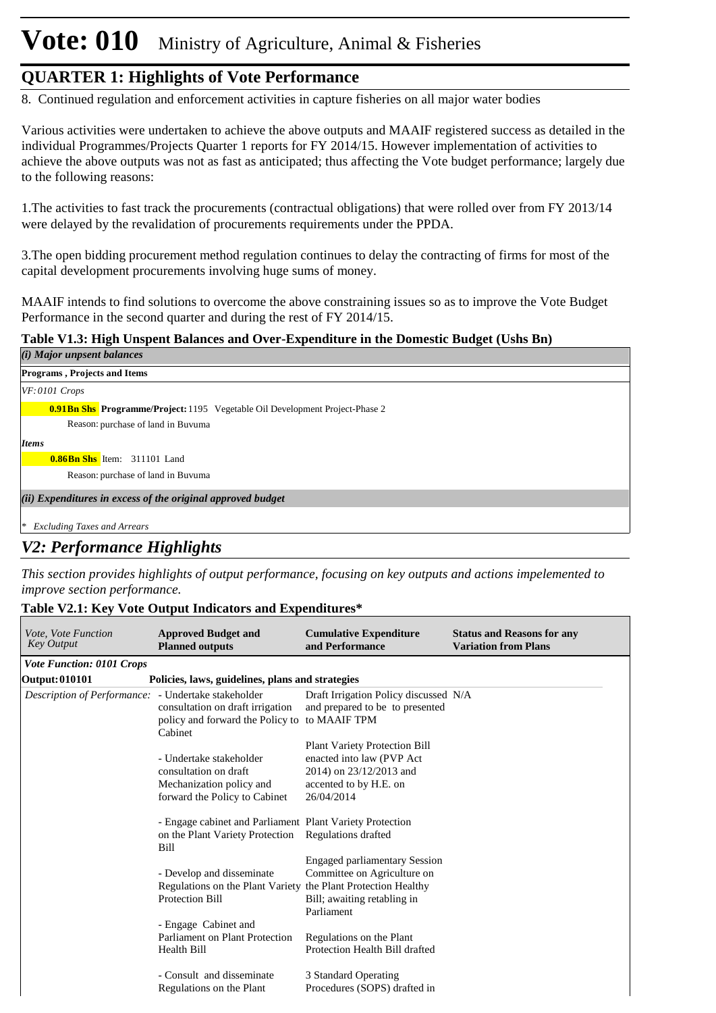# **Vote: 010** Ministry of Agriculture, Animal & Fisheries

#### **QUARTER 1: Highlights of Vote Performance**

8. Continued regulation and enforcement activities in capture fisheries on all major water bodies

Various activities were undertaken to achieve the above outputs and MAAIF registered success as detailed in the individual Programmes/Projects Quarter 1 reports for FY 2014/15. However implementation of activities to achieve the above outputs was not as fast as anticipated; thus affecting the Vote budget performance; largely due to the following reasons:

1. The activities to fast track the procurements (contractual obligations) that were rolled over from FY 2013/14 were delayed by the revalidation of procurements requirements under the PPDA.

3. The open bidding procurement method regulation continues to delay the contracting of firms for most of the capital development procurements involving huge sums of money.

MAAIF intends to find solutions to overcome the above constraining issues so as to improve the Vote Budget Performance in the second quarter and during the rest of FY 2014/15.

#### **Table V1.3: High Unspent Balances and Over-Expenditure in the Domestic Budget (Ushs Bn)**

| (i) Major unpsent balances                                                          |  |  |  |  |
|-------------------------------------------------------------------------------------|--|--|--|--|
| <b>Programs, Projects and Items</b>                                                 |  |  |  |  |
| $VF: 0101$ Crops                                                                    |  |  |  |  |
| <b>0.91Bn Shs</b> Programme/Project: 1195 Vegetable Oil Development Project-Phase 2 |  |  |  |  |
| Reason: purchase of land in Buvuma                                                  |  |  |  |  |
| <b>Items</b>                                                                        |  |  |  |  |
| <b>0.86Bn Shs</b> Item: 311101 Land                                                 |  |  |  |  |
| Reason: purchase of land in Buvuma                                                  |  |  |  |  |
| (ii) Expenditures in excess of the original approved budget                         |  |  |  |  |
| <b>Excluding Taxes and Arrears</b><br>∗                                             |  |  |  |  |

#### *V2: Performance Highlights*

*This section provides highlights of output performance, focusing on key outputs and actions impelemented to improve section performance.*

#### **Table V2.1: Key Vote Output Indicators and Expenditures\***

| <i>Vote, Vote Function</i><br><b>Key Output</b> | <b>Approved Budget and</b><br><b>Planned outputs</b>                                                                    | <b>Cumulative Expenditure</b><br>and Performance                                                                 | <b>Status and Reasons for any</b><br><b>Variation from Plans</b> |
|-------------------------------------------------|-------------------------------------------------------------------------------------------------------------------------|------------------------------------------------------------------------------------------------------------------|------------------------------------------------------------------|
| <b>Vote Function: 0101 Crops</b>                |                                                                                                                         |                                                                                                                  |                                                                  |
| Output: 010101                                  | Policies, laws, guidelines, plans and strategies                                                                        |                                                                                                                  |                                                                  |
| Description of Performance:                     | - Undertake stakeholder<br>consultation on draft irrigation<br>policy and forward the Policy to to MAAIF TPM<br>Cabinet | Draft Irrigation Policy discussed N/A<br>and prepared to be to presented                                         |                                                                  |
|                                                 | - Undertake stakeholder<br>consultation on draft                                                                        | <b>Plant Variety Protection Bill</b><br>enacted into law (PVP Act)<br>2014) on 23/12/2013 and                    |                                                                  |
|                                                 | Mechanization policy and<br>forward the Policy to Cabinet                                                               | accented to by H.E. on<br>26/04/2014                                                                             |                                                                  |
|                                                 | - Engage cabinet and Parliament Plant Variety Protection<br>on the Plant Variety Protection Regulations drafted<br>Bill |                                                                                                                  |                                                                  |
|                                                 | - Develop and disseminate<br>Regulations on the Plant Variety the Plant Protection Healthy<br><b>Protection Bill</b>    | <b>Engaged parliamentary Session</b><br>Committee on Agriculture on<br>Bill; awaiting retabling in<br>Parliament |                                                                  |
|                                                 | - Engage Cabinet and<br>Parliament on Plant Protection<br>Health Bill                                                   | Regulations on the Plant<br>Protection Health Bill drafted                                                       |                                                                  |
|                                                 | - Consult and disseminate<br>Regulations on the Plant                                                                   | 3 Standard Operating<br>Procedures (SOPS) drafted in                                                             |                                                                  |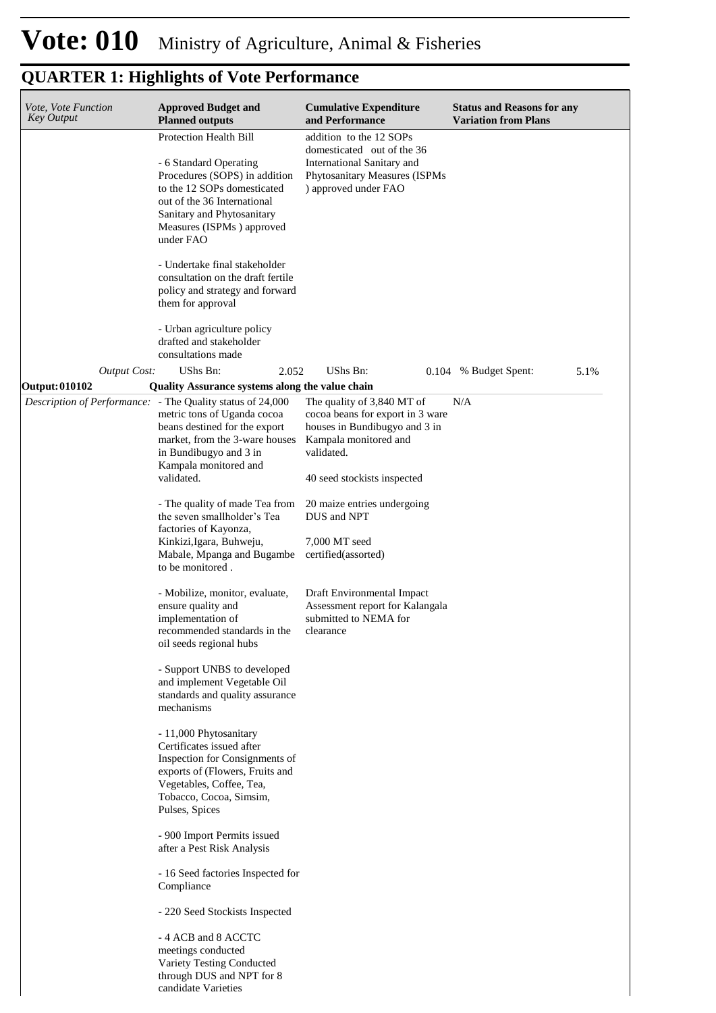| Vote, Vote Function<br>Key Output | <b>Approved Budget and</b><br><b>Planned outputs</b>                                                                                                                                                                                                                                                                                                                                                                                                                                                                                                                                                                                                                                                                                                                                                                                                                                                                                                                                                                                                                                          | <b>Cumulative Expenditure</b><br>and Performance                                                                                                                                                                                                                                                                                                                   | <b>Status and Reasons for any</b><br><b>Variation from Plans</b> |
|-----------------------------------|-----------------------------------------------------------------------------------------------------------------------------------------------------------------------------------------------------------------------------------------------------------------------------------------------------------------------------------------------------------------------------------------------------------------------------------------------------------------------------------------------------------------------------------------------------------------------------------------------------------------------------------------------------------------------------------------------------------------------------------------------------------------------------------------------------------------------------------------------------------------------------------------------------------------------------------------------------------------------------------------------------------------------------------------------------------------------------------------------|--------------------------------------------------------------------------------------------------------------------------------------------------------------------------------------------------------------------------------------------------------------------------------------------------------------------------------------------------------------------|------------------------------------------------------------------|
|                                   | <b>Protection Health Bill</b><br>- 6 Standard Operating<br>Procedures (SOPS) in addition<br>to the 12 SOPs domesticated<br>out of the 36 International<br>Sanitary and Phytosanitary<br>Measures (ISPMs) approved<br>under FAO<br>- Undertake final stakeholder<br>consultation on the draft fertile<br>policy and strategy and forward<br>them for approval<br>- Urban agriculture policy<br>drafted and stakeholder                                                                                                                                                                                                                                                                                                                                                                                                                                                                                                                                                                                                                                                                         | addition to the 12 SOPs<br>domesticated out of the 36<br>International Sanitary and<br>Phytosanitary Measures (ISPMs<br>) approved under FAO                                                                                                                                                                                                                       |                                                                  |
|                                   | consultations made                                                                                                                                                                                                                                                                                                                                                                                                                                                                                                                                                                                                                                                                                                                                                                                                                                                                                                                                                                                                                                                                            |                                                                                                                                                                                                                                                                                                                                                                    |                                                                  |
| <b>Output Cost:</b>               | UShs Bn:<br>2.052                                                                                                                                                                                                                                                                                                                                                                                                                                                                                                                                                                                                                                                                                                                                                                                                                                                                                                                                                                                                                                                                             | UShs Bn:<br>0.104                                                                                                                                                                                                                                                                                                                                                  | 5.1%<br>% Budget Spent:                                          |
| <b>Output: 010102</b>             | Quality Assurance systems along the value chain<br>Description of Performance: - The Quality status of 24,000<br>metric tons of Uganda cocoa<br>beans destined for the export<br>market, from the 3-ware houses<br>in Bundibugyo and 3 in<br>Kampala monitored and<br>validated.<br>- The quality of made Tea from<br>the seven smallholder's Tea<br>factories of Kayonza,<br>Kinkizi, Igara, Buhweju,<br>Mabale, Mpanga and Bugambe<br>to be monitored.<br>- Mobilize, monitor, evaluate,<br>ensure quality and<br>implementation of<br>recommended standards in the<br>oil seeds regional hubs<br>- Support UNBS to developed<br>and implement Vegetable Oil<br>standards and quality assurance<br>mechanisms<br>- 11,000 Phytosanitary<br>Certificates issued after<br>Inspection for Consignments of<br>exports of (Flowers, Fruits and<br>Vegetables, Coffee, Tea,<br>Tobacco, Cocoa, Simsim,<br>Pulses, Spices<br>- 900 Import Permits issued<br>after a Pest Risk Analysis<br>- 16 Seed factories Inspected for<br>Compliance<br>- 220 Seed Stockists Inspected<br>- 4 ACB and 8 ACCTC | The quality of 3,840 MT of<br>cocoa beans for export in 3 ware<br>houses in Bundibugyo and 3 in<br>Kampala monitored and<br>validated.<br>40 seed stockists inspected<br>20 maize entries undergoing<br>DUS and NPT<br>7,000 MT seed<br>certified(assorted)<br>Draft Environmental Impact<br>Assessment report for Kalangala<br>submitted to NEMA for<br>clearance | N/A                                                              |
|                                   | meetings conducted<br>Variety Testing Conducted<br>through DUS and NPT for 8<br>candidate Varieties                                                                                                                                                                                                                                                                                                                                                                                                                                                                                                                                                                                                                                                                                                                                                                                                                                                                                                                                                                                           |                                                                                                                                                                                                                                                                                                                                                                    |                                                                  |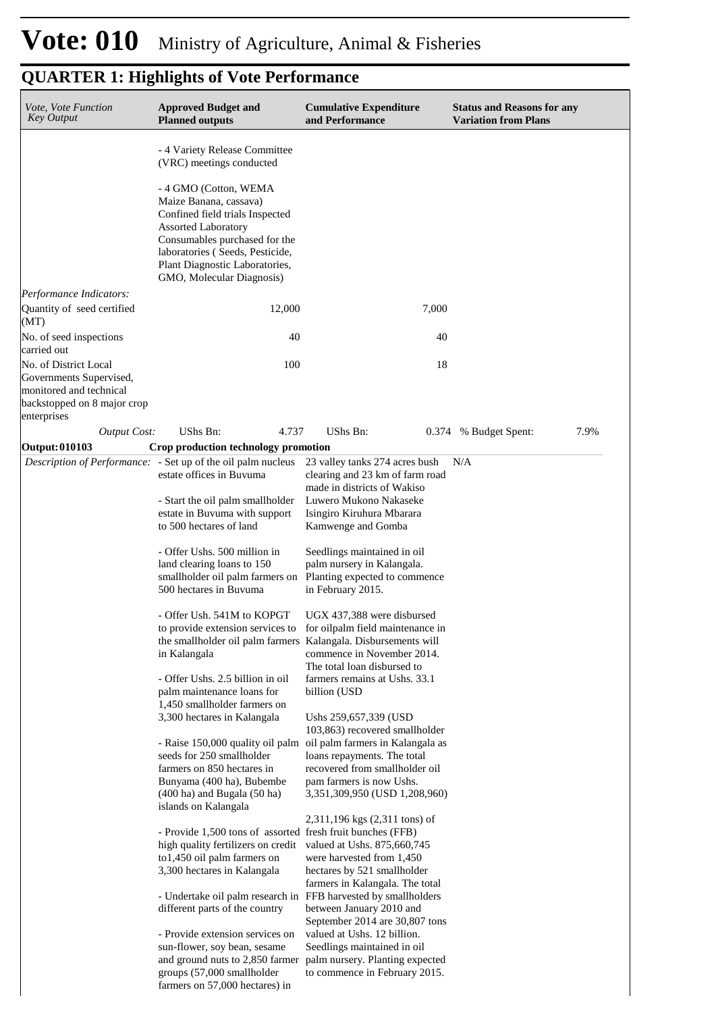| <i>Vote, Vote Function</i><br>Key Output                                                                                  | <b>Approved Budget and</b><br><b>Planned outputs</b>                                                                                                                                                                                                                                                             | <b>Cumulative Expenditure</b><br>and Performance                                                                                                                                                                                                           | <b>Status and Reasons for any</b><br><b>Variation from Plans</b> |
|---------------------------------------------------------------------------------------------------------------------------|------------------------------------------------------------------------------------------------------------------------------------------------------------------------------------------------------------------------------------------------------------------------------------------------------------------|------------------------------------------------------------------------------------------------------------------------------------------------------------------------------------------------------------------------------------------------------------|------------------------------------------------------------------|
|                                                                                                                           | - 4 Variety Release Committee<br>(VRC) meetings conducted<br>- 4 GMO (Cotton, WEMA<br>Maize Banana, cassava)<br>Confined field trials Inspected<br><b>Assorted Laboratory</b><br>Consumables purchased for the<br>laboratories (Seeds, Pesticide,<br>Plant Diagnostic Laboratories,<br>GMO, Molecular Diagnosis) |                                                                                                                                                                                                                                                            |                                                                  |
| Performance Indicators:                                                                                                   |                                                                                                                                                                                                                                                                                                                  |                                                                                                                                                                                                                                                            |                                                                  |
| Quantity of seed certified<br>(MT)                                                                                        | 12,000                                                                                                                                                                                                                                                                                                           | 7,000                                                                                                                                                                                                                                                      |                                                                  |
| No. of seed inspections<br>carried out                                                                                    | 40                                                                                                                                                                                                                                                                                                               | 40                                                                                                                                                                                                                                                         |                                                                  |
| No. of District Local<br>Governments Supervised,<br>monitored and technical<br>backstopped on 8 major crop<br>enterprises | 100                                                                                                                                                                                                                                                                                                              | 18                                                                                                                                                                                                                                                         |                                                                  |
| <b>Output Cost:</b>                                                                                                       | UShs Bn:<br>4.737                                                                                                                                                                                                                                                                                                | UShs Bn:                                                                                                                                                                                                                                                   | 0.374 % Budget Spent:<br>7.9%                                    |
| <b>Output: 010103</b>                                                                                                     | Crop production technology promotion                                                                                                                                                                                                                                                                             |                                                                                                                                                                                                                                                            |                                                                  |
|                                                                                                                           | <i>Description of Performance:</i> - Set up of the oil palm nucleus<br>estate offices in Buvuma<br>- Start the oil palm smallholder<br>estate in Buvuma with support<br>to 500 hectares of land                                                                                                                  | 23 valley tanks 274 acres bush<br>clearing and 23 km of farm road<br>made in districts of Wakiso<br>Luwero Mukono Nakaseke<br>Isingiro Kiruhura Mbarara<br>Kamwenge and Gomba                                                                              | N/A                                                              |
|                                                                                                                           | - Offer Ushs. 500 million in<br>land clearing loans to 150<br>smallholder oil palm farmers on<br>500 hectares in Buvuma                                                                                                                                                                                          | Seedlings maintained in oil<br>palm nursery in Kalangala.<br>Planting expected to commence<br>in February 2015.                                                                                                                                            |                                                                  |
|                                                                                                                           | - Offer Ush. 541M to KOPGT<br>to provide extension services to<br>the smallholder oil palm farmers Kalangala. Disbursements will<br>in Kalangala<br>- Offer Ushs. 2.5 billion in oil                                                                                                                             | UGX 437,388 were disbursed<br>for oilpalm field maintenance in<br>commence in November 2014.<br>The total loan disbursed to<br>farmers remains at Ushs. 33.1                                                                                               |                                                                  |
|                                                                                                                           | palm maintenance loans for<br>1,450 smallholder farmers on                                                                                                                                                                                                                                                       | billion (USD)                                                                                                                                                                                                                                              |                                                                  |
|                                                                                                                           | 3,300 hectares in Kalangala<br>seeds for 250 smallholder<br>farmers on 850 hectares in<br>Bunyama (400 ha), Bubembe<br>$(400 \text{ ha})$ and Bugala $(50 \text{ ha})$<br>islands on Kalangala                                                                                                                   | Ushs 259,657,339 (USD<br>103,863) recovered smallholder<br>- Raise 150,000 quality oil palm oil palm farmers in Kalangala as<br>loans repayments. The total<br>recovered from smallholder oil<br>pam farmers is now Ushs.<br>3,351,309,950 (USD 1,208,960) |                                                                  |
|                                                                                                                           | - Provide 1,500 tons of assorted fresh fruit bunches (FFB)<br>high quality fertilizers on credit<br>to1,450 oil palm farmers on<br>3,300 hectares in Kalangala                                                                                                                                                   | 2,311,196 kgs (2,311 tons) of<br>valued at Ushs. 875,660,745<br>were harvested from 1,450<br>hectares by 521 smallholder<br>farmers in Kalangala. The total                                                                                                |                                                                  |
|                                                                                                                           | - Undertake oil palm research in FFB harvested by smallholders<br>different parts of the country                                                                                                                                                                                                                 | between January 2010 and<br>September 2014 are 30,807 tons                                                                                                                                                                                                 |                                                                  |
|                                                                                                                           | - Provide extension services on<br>sun-flower, soy bean, sesame<br>and ground nuts to 2,850 farmer<br>groups (57,000 smallholder<br>farmers on 57,000 hectares) in                                                                                                                                               | valued at Ushs. 12 billion.<br>Seedlings maintained in oil<br>palm nursery. Planting expected<br>to commence in February 2015.                                                                                                                             |                                                                  |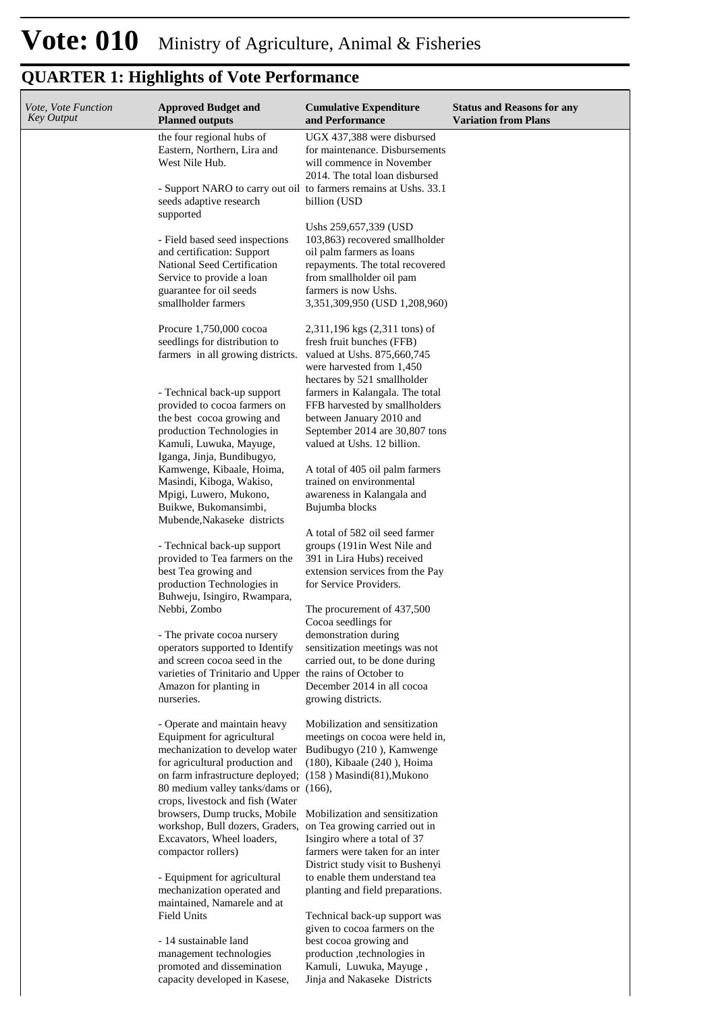| <i>Vote, Vote Function</i><br>Key Output | <b>Approved Budget and</b><br><b>Planned outputs</b>                                      | <b>Cumulative Expenditure</b><br>and Performance                  | <b>Status and Reasons for any</b><br><b>Variation from Plans</b> |
|------------------------------------------|-------------------------------------------------------------------------------------------|-------------------------------------------------------------------|------------------------------------------------------------------|
|                                          | the four regional hubs of                                                                 | UGX 437,388 were disbursed                                        |                                                                  |
|                                          | Eastern, Northern, Lira and                                                               | for maintenance. Disbursements                                    |                                                                  |
|                                          | West Nile Hub.                                                                            | will commence in November                                         |                                                                  |
|                                          | - Support NARO to carry out oil to farmers remains at Ushs. 33.1                          | 2014. The total loan disbursed                                    |                                                                  |
|                                          | seeds adaptive research                                                                   | billion (USD                                                      |                                                                  |
|                                          | supported                                                                                 |                                                                   |                                                                  |
|                                          |                                                                                           | Ushs 259,657,339 (USD)                                            |                                                                  |
|                                          | - Field based seed inspections<br>and certification: Support                              | 103,863) recovered smallholder<br>oil palm farmers as loans       |                                                                  |
|                                          | National Seed Certification                                                               | repayments. The total recovered                                   |                                                                  |
|                                          | Service to provide a loan                                                                 | from smallholder oil pam                                          |                                                                  |
|                                          | guarantee for oil seeds<br>smallholder farmers                                            | farmers is now Ushs.                                              |                                                                  |
|                                          |                                                                                           | 3,351,309,950 (USD 1,208,960)                                     |                                                                  |
|                                          | Procure 1,750,000 cocoa                                                                   | 2,311,196 kgs (2,311 tons) of                                     |                                                                  |
|                                          | seedlings for distribution to                                                             | fresh fruit bunches (FFB)                                         |                                                                  |
|                                          | farmers in all growing districts.                                                         | valued at Ushs. 875,660,745<br>were harvested from 1,450          |                                                                  |
|                                          |                                                                                           | hectares by 521 smallholder                                       |                                                                  |
|                                          | - Technical back-up support                                                               | farmers in Kalangala. The total                                   |                                                                  |
|                                          | provided to cocoa farmers on                                                              | FFB harvested by smallholders                                     |                                                                  |
|                                          | the best cocoa growing and<br>production Technologies in                                  | between January 2010 and<br>September 2014 are 30,807 tons        |                                                                  |
|                                          | Kamuli, Luwuka, Mayuge,                                                                   | valued at Ushs. 12 billion.                                       |                                                                  |
|                                          | Iganga, Jinja, Bundibugyo,                                                                |                                                                   |                                                                  |
|                                          | Kamwenge, Kibaale, Hoima,                                                                 | A total of 405 oil palm farmers                                   |                                                                  |
|                                          | Masindi, Kiboga, Wakiso,<br>Mpigi, Luwero, Mukono,                                        | trained on environmental<br>awareness in Kalangala and            |                                                                  |
|                                          | Buikwe, Bukomansimbi,                                                                     | Bujumba blocks                                                    |                                                                  |
|                                          | Mubende, Nakaseke districts                                                               |                                                                   |                                                                  |
|                                          |                                                                                           | A total of 582 oil seed farmer                                    |                                                                  |
|                                          | - Technical back-up support<br>provided to Tea farmers on the                             | groups (191 in West Nile and<br>391 in Lira Hubs) received        |                                                                  |
|                                          | best Tea growing and                                                                      | extension services from the Pay                                   |                                                                  |
|                                          | production Technologies in                                                                | for Service Providers.                                            |                                                                  |
|                                          | Buhweju, Isingiro, Rwampara,<br>Nebbi, Zombo                                              |                                                                   |                                                                  |
|                                          |                                                                                           | The procurement of 437,500<br>Cocoa seedlings for                 |                                                                  |
|                                          | - The private cocoa nursery                                                               | demonstration during                                              |                                                                  |
|                                          | operators supported to Identify                                                           | sensitization meetings was not                                    |                                                                  |
|                                          | and screen cocoa seed in the<br>varieties of Trinitario and Upper the rains of October to | carried out, to be done during                                    |                                                                  |
|                                          | Amazon for planting in                                                                    | December 2014 in all cocoa                                        |                                                                  |
|                                          | nurseries.                                                                                | growing districts.                                                |                                                                  |
|                                          |                                                                                           |                                                                   |                                                                  |
|                                          | - Operate and maintain heavy<br>Equipment for agricultural                                | Mobilization and sensitization<br>meetings on cocoa were held in, |                                                                  |
|                                          | mechanization to develop water                                                            | Budibugyo (210), Kamwenge                                         |                                                                  |
|                                          | for agricultural production and                                                           | (180), Kibaale (240), Hoima                                       |                                                                  |
|                                          | on farm infrastructure deployed;                                                          | $(158)$ Masindi $(81)$ , Mukono                                   |                                                                  |
|                                          | 80 medium valley tanks/dams or<br>crops, livestock and fish (Water                        | $(166)$ ,                                                         |                                                                  |
|                                          | browsers, Dump trucks, Mobile                                                             | Mobilization and sensitization                                    |                                                                  |
|                                          | workshop, Bull dozers, Graders,                                                           | on Tea growing carried out in                                     |                                                                  |
|                                          | Excavators, Wheel loaders,<br>compactor rollers)                                          | Isingiro where a total of 37<br>farmers were taken for an inter   |                                                                  |
|                                          |                                                                                           | District study visit to Bushenyi                                  |                                                                  |
|                                          | - Equipment for agricultural                                                              | to enable them understand tea                                     |                                                                  |
|                                          | mechanization operated and                                                                | planting and field preparations.                                  |                                                                  |
|                                          | maintained, Namarele and at<br><b>Field Units</b>                                         | Technical back-up support was                                     |                                                                  |
|                                          |                                                                                           | given to cocoa farmers on the                                     |                                                                  |
|                                          | - 14 sustainable land                                                                     | best cocoa growing and                                            |                                                                  |
|                                          | management technologies                                                                   | production ,technologies in                                       |                                                                  |
|                                          | promoted and dissemination<br>capacity developed in Kasese,                               | Kamuli, Luwuka, Mayuge,<br>Jinja and Nakaseke Districts           |                                                                  |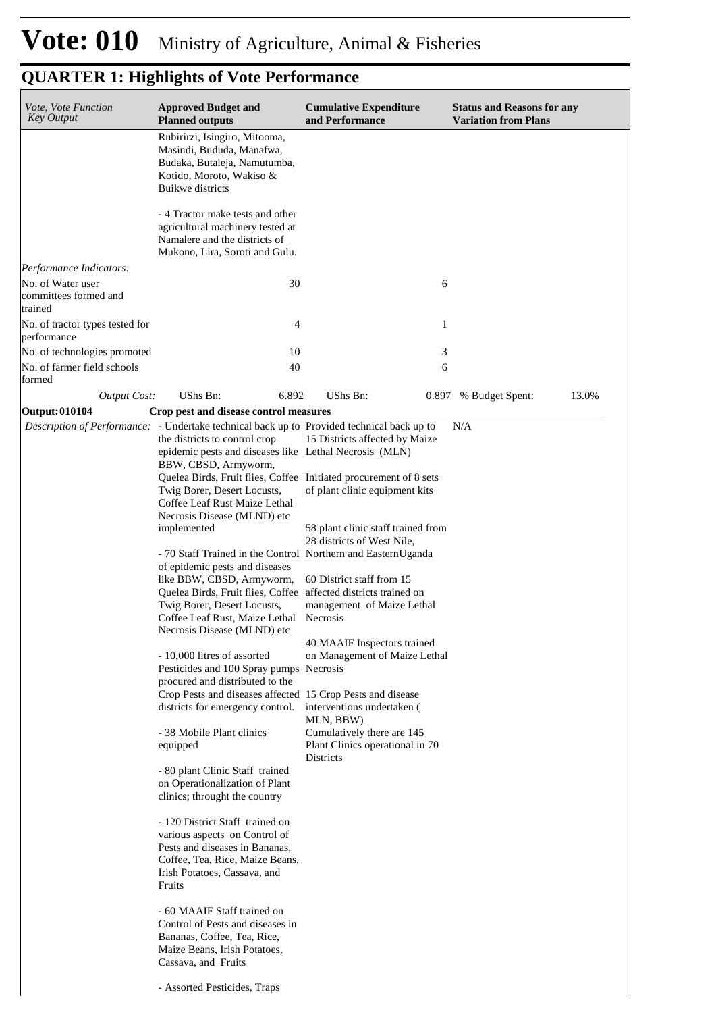| Vote, Vote Function<br><b>Key Output</b>                              | <b>Approved Budget and</b><br><b>Planned outputs</b>                                                                                                                                                                                                            | <b>Cumulative Expenditure</b><br>and Performance                                  | <b>Status and Reasons for any</b><br><b>Variation from Plans</b> |
|-----------------------------------------------------------------------|-----------------------------------------------------------------------------------------------------------------------------------------------------------------------------------------------------------------------------------------------------------------|-----------------------------------------------------------------------------------|------------------------------------------------------------------|
|                                                                       | Rubirirzi, Isingiro, Mitooma,<br>Masindi, Bududa, Manafwa,<br>Budaka, Butaleja, Namutumba,<br>Kotido, Moroto, Wakiso &<br><b>Buikwe</b> districts                                                                                                               |                                                                                   |                                                                  |
|                                                                       | - 4 Tractor make tests and other<br>agricultural machinery tested at<br>Namalere and the districts of<br>Mukono, Lira, Soroti and Gulu.                                                                                                                         |                                                                                   |                                                                  |
| Performance Indicators:<br>No. of Water user<br>committees formed and | 30                                                                                                                                                                                                                                                              | 6                                                                                 |                                                                  |
| trained<br>No. of tractor types tested for<br>performance             | 4                                                                                                                                                                                                                                                               | 1                                                                                 |                                                                  |
| No. of technologies promoted                                          | 10                                                                                                                                                                                                                                                              | 3                                                                                 |                                                                  |
| No. of farmer field schools<br>formed                                 | 40                                                                                                                                                                                                                                                              | 6                                                                                 |                                                                  |
| <b>Output Cost:</b>                                                   | UShs Bn:<br>6.892                                                                                                                                                                                                                                               | UShs Bn:                                                                          | 0.897 % Budget Spent:<br>13.0%                                   |
| Output: 010104                                                        | Crop pest and disease control measures                                                                                                                                                                                                                          |                                                                                   |                                                                  |
|                                                                       | <i>Description of Performance:</i> - Undertake technical back up to Provided technical back up to<br>the districts to control crop<br>epidemic pests and diseases like Lethal Necrosis (MLN)<br>BBW, CBSD, Armyworm,                                            | 15 Districts affected by Maize                                                    | N/A                                                              |
|                                                                       | Quelea Birds, Fruit flies, Coffee Initiated procurement of 8 sets<br>Twig Borer, Desert Locusts,<br>Coffee Leaf Rust Maize Lethal<br>Necrosis Disease (MLND) etc                                                                                                | of plant clinic equipment kits                                                    |                                                                  |
|                                                                       | implemented                                                                                                                                                                                                                                                     | 58 plant clinic staff trained from<br>28 districts of West Nile,                  |                                                                  |
|                                                                       | - 70 Staff Trained in the Control Northern and EasternUganda<br>of epidemic pests and diseases<br>like BBW, CBSD, Armyworm,<br>Quelea Birds, Fruit flies, Coffee affected districts trained on<br>Twig Borer, Desert Locusts,<br>Coffee Leaf Rust, Maize Lethal | 60 District staff from 15<br>management of Maize Lethal<br>Necrosis               |                                                                  |
|                                                                       | Necrosis Disease (MLND) etc<br>- 10,000 litres of assorted<br>Pesticides and 100 Spray pumps Necrosis<br>procured and distributed to the                                                                                                                        | 40 MAAIF Inspectors trained<br>on Management of Maize Lethal                      |                                                                  |
|                                                                       | Crop Pests and diseases affected 15 Crop Pests and disease<br>districts for emergency control.                                                                                                                                                                  | interventions undertaken (<br>MLN, BBW)                                           |                                                                  |
|                                                                       | - 38 Mobile Plant clinics<br>equipped                                                                                                                                                                                                                           | Cumulatively there are 145<br>Plant Clinics operational in 70<br><b>Districts</b> |                                                                  |
|                                                                       | - 80 plant Clinic Staff trained<br>on Operationalization of Plant<br>clinics; throught the country                                                                                                                                                              |                                                                                   |                                                                  |
|                                                                       | - 120 District Staff trained on<br>various aspects on Control of<br>Pests and diseases in Bananas,<br>Coffee, Tea, Rice, Maize Beans,<br>Irish Potatoes, Cassava, and<br>Fruits                                                                                 |                                                                                   |                                                                  |
|                                                                       | - 60 MAAIF Staff trained on<br>Control of Pests and diseases in<br>Bananas, Coffee, Tea, Rice,<br>Maize Beans, Irish Potatoes,<br>Cassava, and Fruits                                                                                                           |                                                                                   |                                                                  |
|                                                                       | - Assorted Pesticides, Traps                                                                                                                                                                                                                                    |                                                                                   |                                                                  |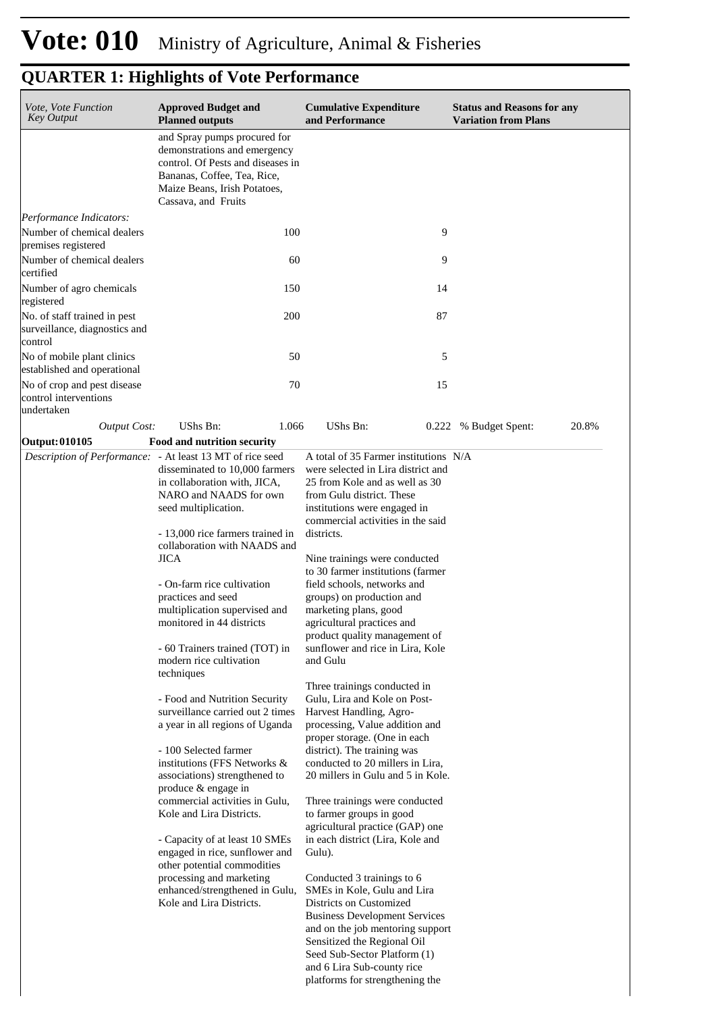| Vote, Vote Function<br><b>Key Output</b>                                     | <b>Approved Budget and</b><br><b>Planned outputs</b>                                                                                                                                                                                                                                                                                                                                                                                                                                                                                                                                                                                                                                                                                                                                                                                                                                                                                              | <b>Cumulative Expenditure</b><br>and Performance                                                                                                                                                                                                                                                                                                                                                                                                                                                                                                                                                                                                                                                                                                                                                                                                                                                                                                                                                                    | <b>Status and Reasons for any</b><br><b>Variation from Plans</b> |
|------------------------------------------------------------------------------|---------------------------------------------------------------------------------------------------------------------------------------------------------------------------------------------------------------------------------------------------------------------------------------------------------------------------------------------------------------------------------------------------------------------------------------------------------------------------------------------------------------------------------------------------------------------------------------------------------------------------------------------------------------------------------------------------------------------------------------------------------------------------------------------------------------------------------------------------------------------------------------------------------------------------------------------------|---------------------------------------------------------------------------------------------------------------------------------------------------------------------------------------------------------------------------------------------------------------------------------------------------------------------------------------------------------------------------------------------------------------------------------------------------------------------------------------------------------------------------------------------------------------------------------------------------------------------------------------------------------------------------------------------------------------------------------------------------------------------------------------------------------------------------------------------------------------------------------------------------------------------------------------------------------------------------------------------------------------------|------------------------------------------------------------------|
|                                                                              | and Spray pumps procured for<br>demonstrations and emergency<br>control. Of Pests and diseases in<br>Bananas, Coffee, Tea, Rice,<br>Maize Beans, Irish Potatoes,<br>Cassava, and Fruits                                                                                                                                                                                                                                                                                                                                                                                                                                                                                                                                                                                                                                                                                                                                                           |                                                                                                                                                                                                                                                                                                                                                                                                                                                                                                                                                                                                                                                                                                                                                                                                                                                                                                                                                                                                                     |                                                                  |
| Performance Indicators:<br>Number of chemical dealers<br>premises registered | 100                                                                                                                                                                                                                                                                                                                                                                                                                                                                                                                                                                                                                                                                                                                                                                                                                                                                                                                                               | 9                                                                                                                                                                                                                                                                                                                                                                                                                                                                                                                                                                                                                                                                                                                                                                                                                                                                                                                                                                                                                   |                                                                  |
| Number of chemical dealers<br>certified                                      | 60                                                                                                                                                                                                                                                                                                                                                                                                                                                                                                                                                                                                                                                                                                                                                                                                                                                                                                                                                | 9                                                                                                                                                                                                                                                                                                                                                                                                                                                                                                                                                                                                                                                                                                                                                                                                                                                                                                                                                                                                                   |                                                                  |
| Number of agro chemicals<br>registered                                       | 150                                                                                                                                                                                                                                                                                                                                                                                                                                                                                                                                                                                                                                                                                                                                                                                                                                                                                                                                               | 14                                                                                                                                                                                                                                                                                                                                                                                                                                                                                                                                                                                                                                                                                                                                                                                                                                                                                                                                                                                                                  |                                                                  |
| No. of staff trained in pest<br>surveillance, diagnostics and<br>control     | 200                                                                                                                                                                                                                                                                                                                                                                                                                                                                                                                                                                                                                                                                                                                                                                                                                                                                                                                                               | 87                                                                                                                                                                                                                                                                                                                                                                                                                                                                                                                                                                                                                                                                                                                                                                                                                                                                                                                                                                                                                  |                                                                  |
| No of mobile plant clinics<br>established and operational                    | 50                                                                                                                                                                                                                                                                                                                                                                                                                                                                                                                                                                                                                                                                                                                                                                                                                                                                                                                                                | 5                                                                                                                                                                                                                                                                                                                                                                                                                                                                                                                                                                                                                                                                                                                                                                                                                                                                                                                                                                                                                   |                                                                  |
| No of crop and pest disease<br>control interventions<br>undertaken           | 70                                                                                                                                                                                                                                                                                                                                                                                                                                                                                                                                                                                                                                                                                                                                                                                                                                                                                                                                                | 15                                                                                                                                                                                                                                                                                                                                                                                                                                                                                                                                                                                                                                                                                                                                                                                                                                                                                                                                                                                                                  |                                                                  |
| <b>Output Cost:</b>                                                          | <b>UShs Bn:</b><br>1.066                                                                                                                                                                                                                                                                                                                                                                                                                                                                                                                                                                                                                                                                                                                                                                                                                                                                                                                          | <b>UShs Bn:</b><br>0.222                                                                                                                                                                                                                                                                                                                                                                                                                                                                                                                                                                                                                                                                                                                                                                                                                                                                                                                                                                                            | 20.8%<br>% Budget Spent:                                         |
| Output: 010105                                                               | Food and nutrition security                                                                                                                                                                                                                                                                                                                                                                                                                                                                                                                                                                                                                                                                                                                                                                                                                                                                                                                       |                                                                                                                                                                                                                                                                                                                                                                                                                                                                                                                                                                                                                                                                                                                                                                                                                                                                                                                                                                                                                     |                                                                  |
|                                                                              | Description of Performance: - At least 13 MT of rice seed<br>disseminated to 10,000 farmers<br>in collaboration with, JICA,<br>NARO and NAADS for own<br>seed multiplication.<br>- 13,000 rice farmers trained in<br>collaboration with NAADS and<br><b>JICA</b><br>- On-farm rice cultivation<br>practices and seed<br>multiplication supervised and<br>monitored in 44 districts<br>- 60 Trainers trained (TOT) in<br>modern rice cultivation<br>techniques<br>- Food and Nutrition Security<br>surveillance carried out 2 times<br>a year in all regions of Uganda<br>- 100 Selected farmer<br>institutions (FFS Networks &<br>associations) strengthened to<br>produce & engage in<br>commercial activities in Gulu,<br>Kole and Lira Districts.<br>- Capacity of at least 10 SMEs<br>engaged in rice, sunflower and<br>other potential commodities<br>processing and marketing<br>enhanced/strengthened in Gulu,<br>Kole and Lira Districts. | A total of 35 Farmer institutions N/A<br>were selected in Lira district and<br>25 from Kole and as well as 30<br>from Gulu district. These<br>institutions were engaged in<br>commercial activities in the said<br>districts.<br>Nine trainings were conducted<br>to 30 farmer institutions (farmer<br>field schools, networks and<br>groups) on production and<br>marketing plans, good<br>agricultural practices and<br>product quality management of<br>sunflower and rice in Lira, Kole<br>and Gulu<br>Three trainings conducted in<br>Gulu, Lira and Kole on Post-<br>Harvest Handling, Agro-<br>processing, Value addition and<br>proper storage. (One in each<br>district). The training was<br>conducted to 20 millers in Lira,<br>20 millers in Gulu and 5 in Kole.<br>Three trainings were conducted<br>to farmer groups in good<br>agricultural practice (GAP) one<br>in each district (Lira, Kole and<br>Gulu).<br>Conducted 3 trainings to 6<br>SMEs in Kole, Gulu and Lira<br>Districts on Customized |                                                                  |
|                                                                              |                                                                                                                                                                                                                                                                                                                                                                                                                                                                                                                                                                                                                                                                                                                                                                                                                                                                                                                                                   | <b>Business Development Services</b><br>and on the job mentoring support<br>Sensitized the Regional Oil<br>Seed Sub-Sector Platform (1)<br>and 6 Lira Sub-county rice<br>platforms for strengthening the                                                                                                                                                                                                                                                                                                                                                                                                                                                                                                                                                                                                                                                                                                                                                                                                            |                                                                  |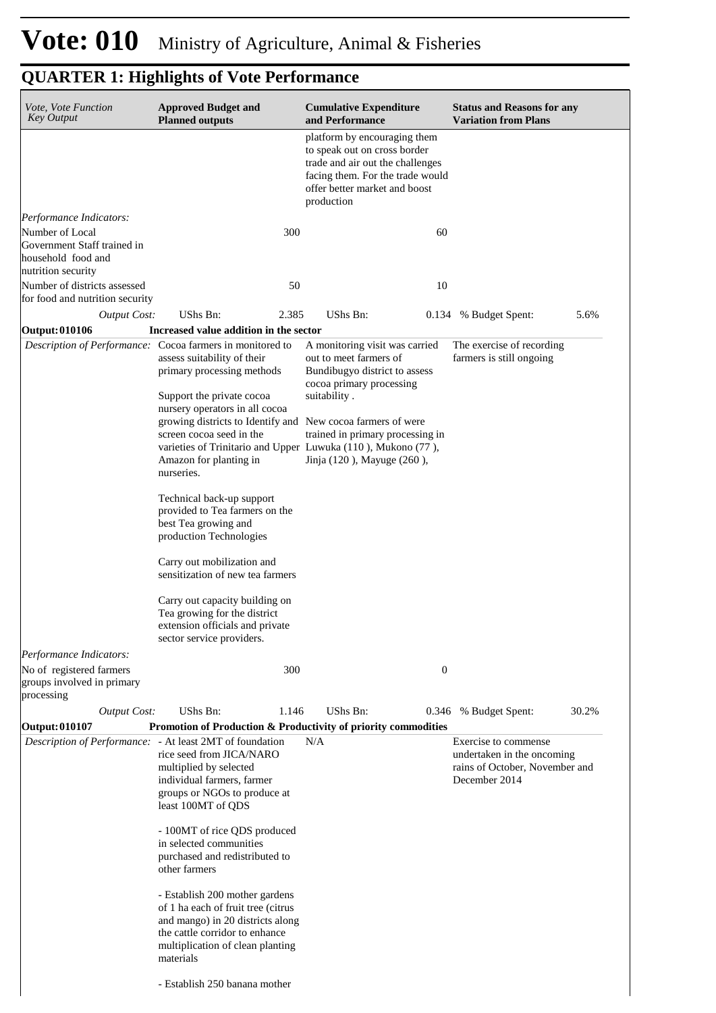| <i>Vote, Vote Function</i><br><b>Key Output</b>                                            | <b>Approved Budget and</b><br><b>Planned outputs</b>                                                                                                                                                                                                                                                                                                                                                                                                                                                                                                                                                                                           |       | <b>Cumulative Expenditure</b><br>and Performance                                                                                                                                                                                                                        |                  | <b>Status and Reasons for any</b><br><b>Variation from Plans</b>                                      |       |
|--------------------------------------------------------------------------------------------|------------------------------------------------------------------------------------------------------------------------------------------------------------------------------------------------------------------------------------------------------------------------------------------------------------------------------------------------------------------------------------------------------------------------------------------------------------------------------------------------------------------------------------------------------------------------------------------------------------------------------------------------|-------|-------------------------------------------------------------------------------------------------------------------------------------------------------------------------------------------------------------------------------------------------------------------------|------------------|-------------------------------------------------------------------------------------------------------|-------|
|                                                                                            |                                                                                                                                                                                                                                                                                                                                                                                                                                                                                                                                                                                                                                                |       | platform by encouraging them<br>to speak out on cross border<br>trade and air out the challenges<br>facing them. For the trade would<br>offer better market and boost<br>production                                                                                     |                  |                                                                                                       |       |
| Performance Indicators:                                                                    |                                                                                                                                                                                                                                                                                                                                                                                                                                                                                                                                                                                                                                                |       |                                                                                                                                                                                                                                                                         |                  |                                                                                                       |       |
| Number of Local<br>Government Staff trained in<br>household food and<br>nutrition security |                                                                                                                                                                                                                                                                                                                                                                                                                                                                                                                                                                                                                                                | 300   |                                                                                                                                                                                                                                                                         | 60               |                                                                                                       |       |
| Number of districts assessed<br>for food and nutrition security                            |                                                                                                                                                                                                                                                                                                                                                                                                                                                                                                                                                                                                                                                | 50    |                                                                                                                                                                                                                                                                         | 10               |                                                                                                       |       |
| <b>Output Cost:</b>                                                                        | UShs Bn:                                                                                                                                                                                                                                                                                                                                                                                                                                                                                                                                                                                                                                       | 2.385 | UShs Bn:                                                                                                                                                                                                                                                                |                  | 0.134 % Budget Spent:                                                                                 | 5.6%  |
| <b>Output: 010106</b>                                                                      | Increased value addition in the sector                                                                                                                                                                                                                                                                                                                                                                                                                                                                                                                                                                                                         |       |                                                                                                                                                                                                                                                                         |                  |                                                                                                       |       |
|                                                                                            | Description of Performance: Cocoa farmers in monitored to<br>assess suitability of their<br>primary processing methods<br>Support the private cocoa<br>nursery operators in all cocoa<br>growing districts to Identify and New cocoa farmers of were<br>screen cocoa seed in the<br>Amazon for planting in<br>nurseries.<br>Technical back-up support<br>provided to Tea farmers on the<br>best Tea growing and<br>production Technologies<br>Carry out mobilization and<br>sensitization of new tea farmers<br>Carry out capacity building on<br>Tea growing for the district<br>extension officials and private<br>sector service providers. |       | A monitoring visit was carried<br>out to meet farmers of<br>Bundibugyo district to assess<br>cocoa primary processing<br>suitability.<br>trained in primary processing in<br>varieties of Trinitario and Upper Luwuka (110), Mukono (77),<br>Jinja (120), Mayuge (260), |                  | The exercise of recording<br>farmers is still ongoing                                                 |       |
| Performance Indicators:<br>No of registered farmers<br>groups involved in primary          |                                                                                                                                                                                                                                                                                                                                                                                                                                                                                                                                                                                                                                                | 300   |                                                                                                                                                                                                                                                                         | $\boldsymbol{0}$ |                                                                                                       |       |
| processing                                                                                 |                                                                                                                                                                                                                                                                                                                                                                                                                                                                                                                                                                                                                                                |       |                                                                                                                                                                                                                                                                         |                  |                                                                                                       |       |
| Output Cost:                                                                               | UShs Bn:                                                                                                                                                                                                                                                                                                                                                                                                                                                                                                                                                                                                                                       | 1.146 | UShs Bn:                                                                                                                                                                                                                                                                |                  | 0.346 % Budget Spent:                                                                                 | 30.2% |
| <b>Output: 010107</b>                                                                      |                                                                                                                                                                                                                                                                                                                                                                                                                                                                                                                                                                                                                                                |       | Promotion of Production & Productivity of priority commodities                                                                                                                                                                                                          |                  |                                                                                                       |       |
|                                                                                            | Description of Performance: - At least 2MT of foundation<br>rice seed from JICA/NARO<br>multiplied by selected<br>individual farmers, farmer<br>groups or NGOs to produce at<br>least 100MT of QDS<br>- 100MT of rice QDS produced<br>in selected communities<br>purchased and redistributed to<br>other farmers<br>- Establish 200 mother gardens<br>of 1 ha each of fruit tree (citrus<br>and mango) in 20 districts along<br>the cattle corridor to enhance<br>multiplication of clean planting                                                                                                                                             |       | N/A                                                                                                                                                                                                                                                                     |                  | Exercise to commense<br>undertaken in the oncoming<br>rains of October, November and<br>December 2014 |       |
|                                                                                            | materials<br>- Establish 250 banana mother                                                                                                                                                                                                                                                                                                                                                                                                                                                                                                                                                                                                     |       |                                                                                                                                                                                                                                                                         |                  |                                                                                                       |       |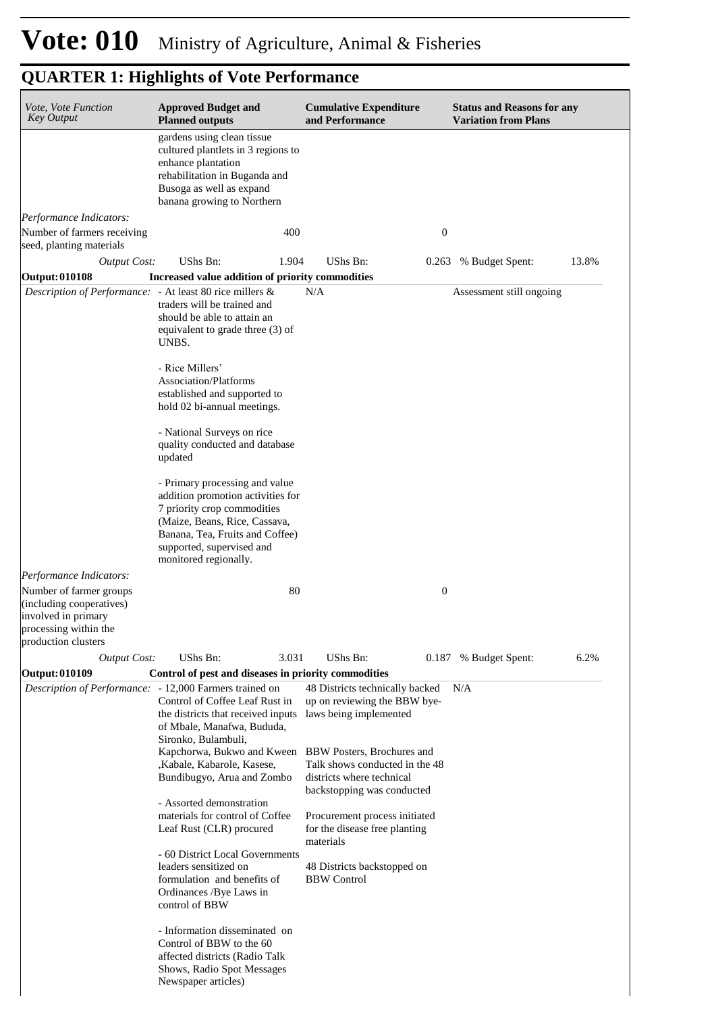| Vote, Vote Function<br><b>Key Output</b>                                                                                   | <b>Approved Budget and</b><br><b>Planned outputs</b>                                                                                                                                                                         | <b>Cumulative Expenditure</b><br>and Performance                                                                        | <b>Status and Reasons for any</b><br><b>Variation from Plans</b> |  |
|----------------------------------------------------------------------------------------------------------------------------|------------------------------------------------------------------------------------------------------------------------------------------------------------------------------------------------------------------------------|-------------------------------------------------------------------------------------------------------------------------|------------------------------------------------------------------|--|
|                                                                                                                            | gardens using clean tissue<br>cultured plantlets in 3 regions to<br>enhance plantation<br>rehabilitation in Buganda and<br>Busoga as well as expand<br>banana growing to Northern                                            |                                                                                                                         |                                                                  |  |
| Performance Indicators:<br>Number of farmers receiving<br>seed, planting materials                                         | 400                                                                                                                                                                                                                          | $\mathbf{0}$                                                                                                            |                                                                  |  |
| <b>Output Cost:</b>                                                                                                        | UShs Bn:<br>1.904                                                                                                                                                                                                            | UShs Bn:                                                                                                                | 13.8%<br>0.263 % Budget Spent:                                   |  |
| Output: 010108                                                                                                             | Increased value addition of priority commodities                                                                                                                                                                             |                                                                                                                         |                                                                  |  |
| Description of Performance: - At least 80 rice millers &                                                                   | traders will be trained and<br>should be able to attain an<br>equivalent to grade three (3) of<br>UNBS.<br>- Rice Millers'<br><b>Association/Platforms</b>                                                                   | N/A                                                                                                                     | Assessment still ongoing                                         |  |
|                                                                                                                            | established and supported to<br>hold 02 bi-annual meetings.                                                                                                                                                                  |                                                                                                                         |                                                                  |  |
|                                                                                                                            | - National Surveys on rice<br>quality conducted and database<br>updated                                                                                                                                                      |                                                                                                                         |                                                                  |  |
|                                                                                                                            | - Primary processing and value<br>addition promotion activities for<br>7 priority crop commodities<br>(Maize, Beans, Rice, Cassava,<br>Banana, Tea, Fruits and Coffee)<br>supported, supervised and<br>monitored regionally. |                                                                                                                         |                                                                  |  |
| Performance Indicators:                                                                                                    |                                                                                                                                                                                                                              |                                                                                                                         |                                                                  |  |
| Number of farmer groups<br>(including cooperatives)<br>involved in primary<br>processing within the<br>production clusters | 80                                                                                                                                                                                                                           | $\boldsymbol{0}$                                                                                                        |                                                                  |  |
| <b>Output Cost:</b>                                                                                                        | UShs Bn:<br>3.031                                                                                                                                                                                                            | UShs Bn:                                                                                                                | 6.2%<br>0.187 % Budget Spent:                                    |  |
| Output: 010109                                                                                                             | Control of pest and diseases in priority commodities                                                                                                                                                                         |                                                                                                                         |                                                                  |  |
| Description of Performance: - 12,000 Farmers trained on                                                                    | Control of Coffee Leaf Rust in<br>the districts that received inputs<br>of Mbale, Manafwa, Bududa,<br>Sironko, Bulambuli,<br>Kapchorwa, Bukwo and Kween                                                                      | 48 Districts technically backed<br>up on reviewing the BBW bye-<br>laws being implemented<br>BBW Posters, Brochures and | N/A                                                              |  |
|                                                                                                                            | ,Kabale, Kabarole, Kasese,<br>Bundibugyo, Arua and Zombo                                                                                                                                                                     | Talk shows conducted in the 48<br>districts where technical<br>backstopping was conducted                               |                                                                  |  |
|                                                                                                                            | - Assorted demonstration<br>materials for control of Coffee<br>Leaf Rust (CLR) procured                                                                                                                                      | Procurement process initiated<br>for the disease free planting<br>materials                                             |                                                                  |  |
|                                                                                                                            | - 60 District Local Governments<br>leaders sensitized on<br>formulation and benefits of<br>Ordinances /Bye Laws in<br>control of BBW                                                                                         | 48 Districts backstopped on<br><b>BBW</b> Control                                                                       |                                                                  |  |
|                                                                                                                            | - Information disseminated on<br>Control of BBW to the 60<br>affected districts (Radio Talk<br>Shows, Radio Spot Messages<br>Newspaper articles)                                                                             |                                                                                                                         |                                                                  |  |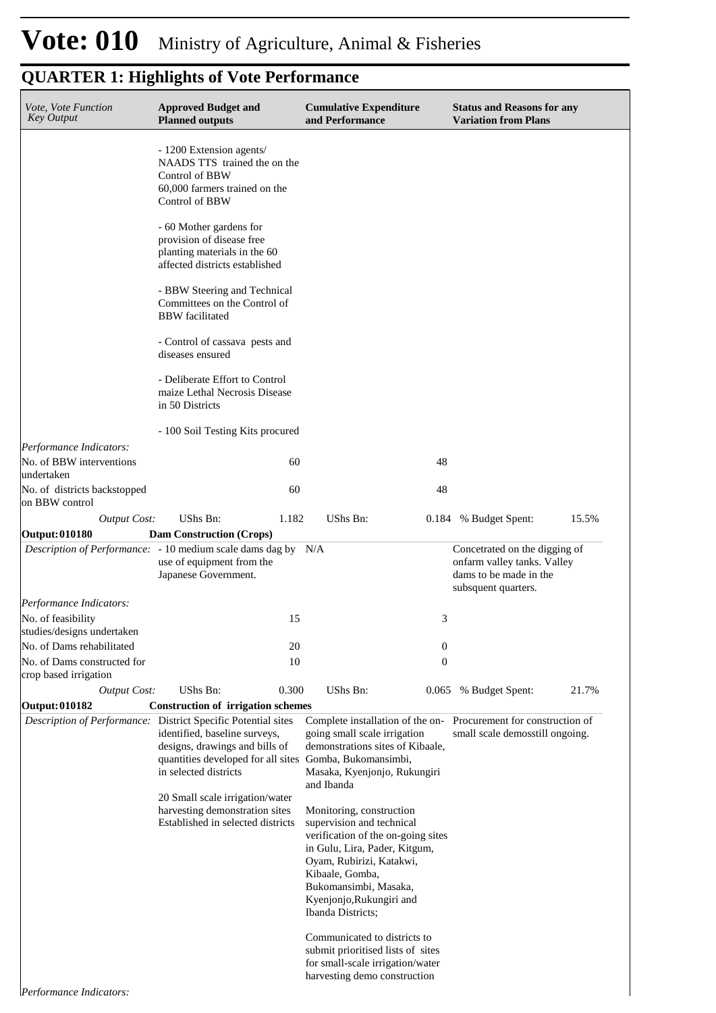| Vote, Vote Function<br><b>Key Output</b>             | <b>Approved Budget and</b><br><b>Planned outputs</b>                                                                                                         | <b>Cumulative Expenditure</b><br>and Performance                                                                                                                                                                                                      | <b>Status and Reasons for any</b><br><b>Variation from Plans</b>                                              |
|------------------------------------------------------|--------------------------------------------------------------------------------------------------------------------------------------------------------------|-------------------------------------------------------------------------------------------------------------------------------------------------------------------------------------------------------------------------------------------------------|---------------------------------------------------------------------------------------------------------------|
|                                                      | - 1200 Extension agents/<br>NAADS TTS trained the on the<br>Control of BBW<br>60,000 farmers trained on the<br>Control of BBW                                |                                                                                                                                                                                                                                                       |                                                                                                               |
|                                                      | - 60 Mother gardens for<br>provision of disease free<br>planting materials in the 60<br>affected districts established                                       |                                                                                                                                                                                                                                                       |                                                                                                               |
|                                                      | - BBW Steering and Technical<br>Committees on the Control of<br><b>BBW</b> facilitated                                                                       |                                                                                                                                                                                                                                                       |                                                                                                               |
|                                                      | - Control of cassava pests and<br>diseases ensured                                                                                                           |                                                                                                                                                                                                                                                       |                                                                                                               |
|                                                      | - Deliberate Effort to Control<br>maize Lethal Necrosis Disease<br>in 50 Districts                                                                           |                                                                                                                                                                                                                                                       |                                                                                                               |
|                                                      | - 100 Soil Testing Kits procured                                                                                                                             |                                                                                                                                                                                                                                                       |                                                                                                               |
| Performance Indicators:                              |                                                                                                                                                              |                                                                                                                                                                                                                                                       |                                                                                                               |
| No. of BBW interventions<br>undertaken               | 60                                                                                                                                                           | 48                                                                                                                                                                                                                                                    |                                                                                                               |
| No. of districts backstopped<br>on BBW control       | 60                                                                                                                                                           | 48                                                                                                                                                                                                                                                    |                                                                                                               |
| <b>Output Cost:</b>                                  | UShs Bn:<br>1.182                                                                                                                                            | UShs Bn:                                                                                                                                                                                                                                              | 15.5%<br>0.184 % Budget Spent:                                                                                |
| Output: 010180                                       | <b>Dam Construction (Crops)</b><br><i>Description of Performance:</i> - 10 medium scale dams dag by N/A<br>use of equipment from the<br>Japanese Government. |                                                                                                                                                                                                                                                       | Concetrated on the digging of<br>onfarm valley tanks. Valley<br>dams to be made in the<br>subsquent quarters. |
| Performance Indicators:                              |                                                                                                                                                              |                                                                                                                                                                                                                                                       |                                                                                                               |
| No. of feasibility                                   | 15                                                                                                                                                           | 3                                                                                                                                                                                                                                                     |                                                                                                               |
| studies/designs undertaken                           |                                                                                                                                                              |                                                                                                                                                                                                                                                       |                                                                                                               |
| No. of Dams rehabilitated                            | 20<br>10                                                                                                                                                     | $\boldsymbol{0}$                                                                                                                                                                                                                                      |                                                                                                               |
| No. of Dams constructed for<br>crop based irrigation |                                                                                                                                                              | $\boldsymbol{0}$                                                                                                                                                                                                                                      |                                                                                                               |
| <b>Output Cost:</b><br>Output: 010182                | <b>UShs Bn:</b><br>0.300                                                                                                                                     | UShs Bn:<br>0.065                                                                                                                                                                                                                                     | 21.7%<br>% Budget Spent:                                                                                      |
|                                                      | <b>Construction of irrigation schemes</b><br>Description of Performance: District Specific Potential sites                                                   | Complete installation of the on-                                                                                                                                                                                                                      | Procurement for construction of                                                                               |
|                                                      | identified, baseline surveys,<br>designs, drawings and bills of<br>quantities developed for all sites Gomba, Bukomansimbi,<br>in selected districts          | going small scale irrigation<br>demonstrations sites of Kibaale,<br>Masaka, Kyenjonjo, Rukungiri<br>and Ibanda                                                                                                                                        | small scale demosstill ongoing.                                                                               |
|                                                      | 20 Small scale irrigation/water<br>harvesting demonstration sites<br>Established in selected districts                                                       | Monitoring, construction<br>supervision and technical<br>verification of the on-going sites<br>in Gulu, Lira, Pader, Kitgum,<br>Oyam, Rubirizi, Katakwi,<br>Kibaale, Gomba,<br>Bukomansimbi, Masaka,<br>Kyenjonjo, Rukungiri and<br>Ibanda Districts; |                                                                                                               |
|                                                      |                                                                                                                                                              | Communicated to districts to<br>submit prioritised lists of sites<br>for small-scale irrigation/water<br>harvesting demo construction                                                                                                                 |                                                                                                               |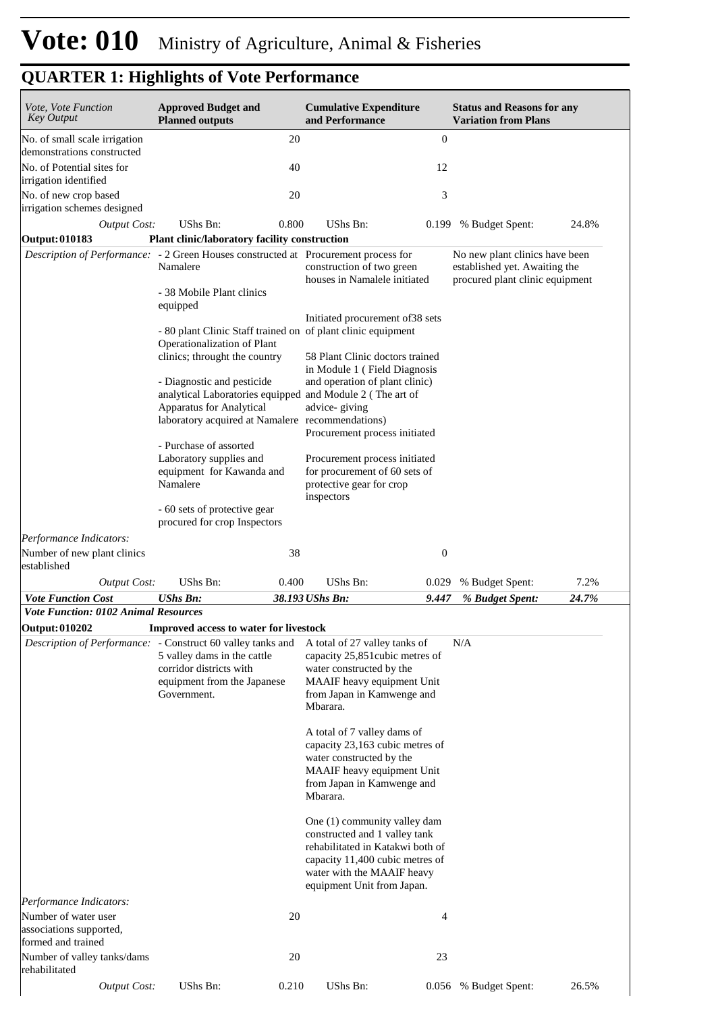| Vote, Vote Function<br><b>Key Output</b>                                            | <b>Approved Budget and</b><br><b>Planned outputs</b>         |       | <b>Cumulative Expenditure</b><br>and Performance                                                                                                                                                             |                  | <b>Status and Reasons for any</b><br><b>Variation from Plans</b>                                   |       |
|-------------------------------------------------------------------------------------|--------------------------------------------------------------|-------|--------------------------------------------------------------------------------------------------------------------------------------------------------------------------------------------------------------|------------------|----------------------------------------------------------------------------------------------------|-------|
| No. of small scale irrigation                                                       |                                                              | 20    |                                                                                                                                                                                                              | $\boldsymbol{0}$ |                                                                                                    |       |
| demonstrations constructed                                                          |                                                              |       |                                                                                                                                                                                                              |                  |                                                                                                    |       |
| No. of Potential sites for<br>irrigation identified                                 |                                                              | 40    |                                                                                                                                                                                                              | 12               |                                                                                                    |       |
| No. of new crop based<br>irrigation schemes designed                                |                                                              | 20    |                                                                                                                                                                                                              | 3                |                                                                                                    |       |
| <b>Output Cost:</b>                                                                 | <b>UShs Bn:</b>                                              | 0.800 | UShs Bn:                                                                                                                                                                                                     | 0.199            | % Budget Spent:                                                                                    | 24.8% |
| <b>Output: 010183</b>                                                               | Plant clinic/laboratory facility construction                |       |                                                                                                                                                                                                              |                  |                                                                                                    |       |
| Description of Performance: - 2 Green Houses constructed at Procurement process for | Namalere                                                     |       | construction of two green<br>houses in Namalele initiated                                                                                                                                                    |                  | No new plant clinics have been<br>established yet. Awaiting the<br>procured plant clinic equipment |       |
|                                                                                     | - 38 Mobile Plant clinics<br>equipped                        |       |                                                                                                                                                                                                              |                  |                                                                                                    |       |
|                                                                                     | Operationalization of Plant                                  |       | Initiated procurement of 38 sets<br>- 80 plant Clinic Staff trained on of plant clinic equipment                                                                                                             |                  |                                                                                                    |       |
|                                                                                     | clinics; throught the country                                |       | 58 Plant Clinic doctors trained<br>in Module 1 (Field Diagnosis                                                                                                                                              |                  |                                                                                                    |       |
|                                                                                     | - Diagnostic and pesticide                                   |       | and operation of plant clinic)<br>analytical Laboratories equipped and Module 2 (The art of                                                                                                                  |                  |                                                                                                    |       |
|                                                                                     | Apparatus for Analytical                                     |       | advice-giving<br>laboratory acquired at Namalere recommendations)<br>Procurement process initiated                                                                                                           |                  |                                                                                                    |       |
|                                                                                     | - Purchase of assorted<br>Laboratory supplies and            |       | Procurement process initiated                                                                                                                                                                                |                  |                                                                                                    |       |
|                                                                                     | equipment for Kawanda and<br>Namalere                        |       | for procurement of 60 sets of<br>protective gear for crop<br>inspectors                                                                                                                                      |                  |                                                                                                    |       |
|                                                                                     | - 60 sets of protective gear<br>procured for crop Inspectors |       |                                                                                                                                                                                                              |                  |                                                                                                    |       |
| Performance Indicators:                                                             |                                                              |       |                                                                                                                                                                                                              |                  |                                                                                                    |       |
| Number of new plant clinics<br>established                                          |                                                              | 38    |                                                                                                                                                                                                              | $\boldsymbol{0}$ |                                                                                                    |       |
| <b>Output Cost:</b>                                                                 | UShs Bn:                                                     | 0.400 | UShs Bn:                                                                                                                                                                                                     | 0.029            | % Budget Spent:                                                                                    | 7.2%  |
| <b>Vote Function Cost</b><br><b>Vote Function: 0102 Animal Resources</b>            | <b>UShs Bn:</b>                                              |       | 38.193 UShs Bn:                                                                                                                                                                                              | 9.447            | % Budget Spent:                                                                                    | 24.7% |
| <b>Output: 010202</b>                                                               | Improved access to water for livestock                       |       |                                                                                                                                                                                                              |                  |                                                                                                    |       |
| Description of Performance: - Construct 60 valley tanks and                         | 5 valley dams in the cattle                                  |       | A total of 27 valley tanks of<br>capacity 25,851 cubic metres of                                                                                                                                             |                  | N/A                                                                                                |       |
|                                                                                     | corridor districts with<br>equipment from the Japanese       |       | water constructed by the<br>MAAIF heavy equipment Unit                                                                                                                                                       |                  |                                                                                                    |       |
|                                                                                     | Government.                                                  |       | from Japan in Kamwenge and<br>Mbarara.                                                                                                                                                                       |                  |                                                                                                    |       |
|                                                                                     |                                                              |       | A total of 7 valley dams of<br>capacity 23,163 cubic metres of<br>water constructed by the<br>MAAIF heavy equipment Unit<br>from Japan in Kamwenge and                                                       |                  |                                                                                                    |       |
|                                                                                     |                                                              |       | Mbarara.<br>One (1) community valley dam<br>constructed and 1 valley tank<br>rehabilitated in Katakwi both of<br>capacity 11,400 cubic metres of<br>water with the MAAIF heavy<br>equipment Unit from Japan. |                  |                                                                                                    |       |
| Performance Indicators:<br>Number of water user<br>associations supported,          |                                                              | 20    |                                                                                                                                                                                                              | 4                |                                                                                                    |       |
| formed and trained<br>Number of valley tanks/dams<br>rehabilitated                  |                                                              | 20    |                                                                                                                                                                                                              | 23               |                                                                                                    |       |
| <b>Output Cost:</b>                                                                 | UShs Bn:                                                     | 0.210 | UShs Bn:                                                                                                                                                                                                     |                  | 0.056 % Budget Spent:                                                                              | 26.5% |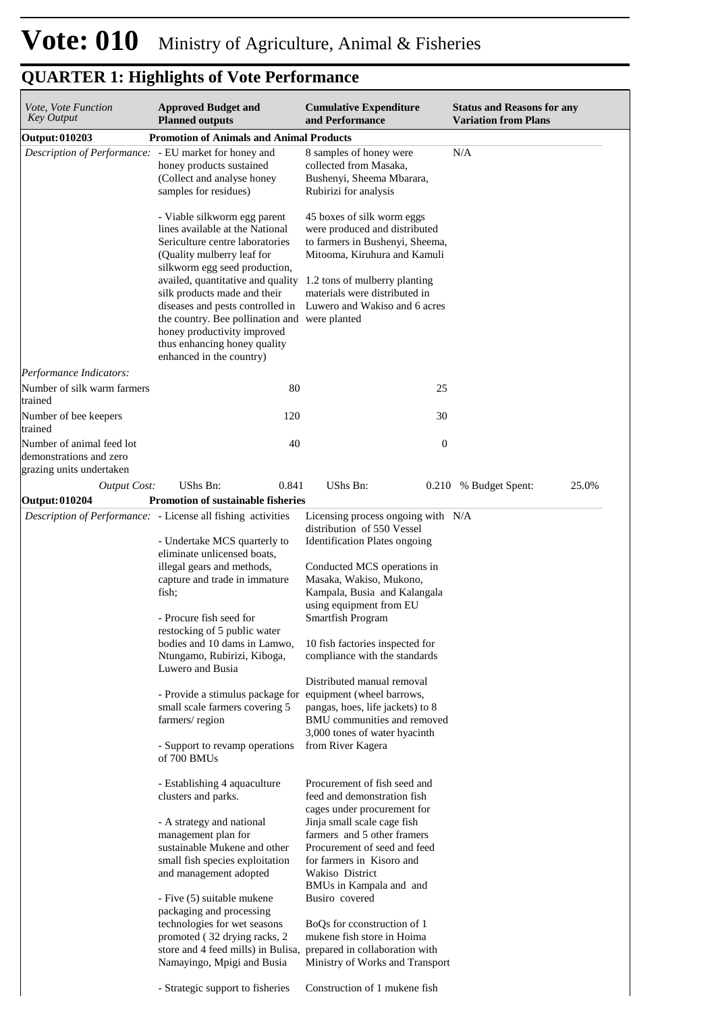| Vote, Vote Function<br>Key Output                                                           | <b>Approved Budget and</b><br><b>Planned outputs</b>                                                                                                                                                                                                                                                                                                                                                                                                                  | <b>Cumulative Expenditure</b><br>and Performance                                                                                                                                                                                                                                                                                                                                                                                                                     | <b>Status and Reasons for any</b><br><b>Variation from Plans</b> |
|---------------------------------------------------------------------------------------------|-----------------------------------------------------------------------------------------------------------------------------------------------------------------------------------------------------------------------------------------------------------------------------------------------------------------------------------------------------------------------------------------------------------------------------------------------------------------------|----------------------------------------------------------------------------------------------------------------------------------------------------------------------------------------------------------------------------------------------------------------------------------------------------------------------------------------------------------------------------------------------------------------------------------------------------------------------|------------------------------------------------------------------|
| <b>Output: 010203</b>                                                                       | <b>Promotion of Animals and Animal Products</b>                                                                                                                                                                                                                                                                                                                                                                                                                       |                                                                                                                                                                                                                                                                                                                                                                                                                                                                      |                                                                  |
| Description of Performance: - EU market for honey and                                       | honey products sustained<br>(Collect and analyse honey<br>samples for residues)                                                                                                                                                                                                                                                                                                                                                                                       | 8 samples of honey were<br>collected from Masaka,<br>Bushenyi, Sheema Mbarara,<br>Rubirizi for analysis                                                                                                                                                                                                                                                                                                                                                              | N/A                                                              |
|                                                                                             | - Viable silkworm egg parent<br>lines available at the National<br>Sericulture centre laboratories<br>(Quality mulberry leaf for<br>silkworm egg seed production,<br>availed, quantitative and quality 1.2 tons of mulberry planting<br>silk products made and their<br>diseases and pests controlled in<br>the country. Bee pollination and were planted<br>honey productivity improved<br>thus enhancing honey quality<br>enhanced in the country)                  | 45 boxes of silk worm eggs<br>were produced and distributed<br>to farmers in Bushenyi, Sheema,<br>Mitooma, Kiruhura and Kamuli<br>materials were distributed in<br>Luwero and Wakiso and 6 acres                                                                                                                                                                                                                                                                     |                                                                  |
| Performance Indicators:<br>Number of silk warm farmers                                      | 80                                                                                                                                                                                                                                                                                                                                                                                                                                                                    | 25                                                                                                                                                                                                                                                                                                                                                                                                                                                                   |                                                                  |
| trained<br>Number of bee keepers                                                            | 120                                                                                                                                                                                                                                                                                                                                                                                                                                                                   | 30                                                                                                                                                                                                                                                                                                                                                                                                                                                                   |                                                                  |
| trained<br>Number of animal feed lot<br>demonstrations and zero<br>grazing units undertaken | 40                                                                                                                                                                                                                                                                                                                                                                                                                                                                    | $\boldsymbol{0}$                                                                                                                                                                                                                                                                                                                                                                                                                                                     |                                                                  |
| <b>Output Cost:</b>                                                                         | UShs Bn:<br>0.841                                                                                                                                                                                                                                                                                                                                                                                                                                                     | <b>UShs Bn:</b><br>0.210                                                                                                                                                                                                                                                                                                                                                                                                                                             | % Budget Spent:<br>25.0%                                         |
| <b>Output: 010204</b>                                                                       | <b>Promotion of sustainable fisheries</b>                                                                                                                                                                                                                                                                                                                                                                                                                             |                                                                                                                                                                                                                                                                                                                                                                                                                                                                      |                                                                  |
|                                                                                             | <i>Description of Performance:</i> - License all fishing activities                                                                                                                                                                                                                                                                                                                                                                                                   | Licensing process ongoing with N/A                                                                                                                                                                                                                                                                                                                                                                                                                                   |                                                                  |
|                                                                                             | - Undertake MCS quarterly to<br>eliminate unlicensed boats,<br>illegal gears and methods,<br>capture and trade in immature<br>fish;<br>- Procure fish seed for<br>restocking of 5 public water<br>bodies and 10 dams in Lamwo,<br>Ntungamo, Rubirizi, Kiboga,<br>Luwero and Busia<br>- Provide a stimulus package for<br>small scale farmers covering 5<br>farmers/region<br>- Support to revamp operations<br>of 700 BMUs                                            | distribution of 550 Vessel<br><b>Identification Plates ongoing</b><br>Conducted MCS operations in<br>Masaka, Wakiso, Mukono,<br>Kampala, Busia and Kalangala<br>using equipment from EU<br>Smartfish Program<br>10 fish factories inspected for<br>compliance with the standards<br>Distributed manual removal<br>equipment (wheel barrows,<br>pangas, hoes, life jackets) to 8<br>BMU communities and removed<br>3,000 tones of water hyacinth<br>from River Kagera |                                                                  |
|                                                                                             | - Establishing 4 aquaculture<br>clusters and parks.<br>- A strategy and national<br>management plan for<br>sustainable Mukene and other<br>small fish species exploitation<br>and management adopted<br>- Five (5) suitable mukene<br>packaging and processing<br>technologies for wet seasons<br>promoted (32 drying racks, 2<br>store and 4 feed mills) in Bulisa, prepared in collaboration with<br>Namayingo, Mpigi and Busia<br>- Strategic support to fisheries | Procurement of fish seed and<br>feed and demonstration fish<br>cages under procurement for<br>Jinja small scale cage fish<br>farmers and 5 other framers<br>Procurement of seed and feed<br>for farmers in Kisoro and<br>Wakiso District<br>BMUs in Kampala and and<br>Busiro covered<br>BoQs for cconstruction of 1<br>mukene fish store in Hoima<br>Ministry of Works and Transport<br>Construction of 1 mukene fish                                               |                                                                  |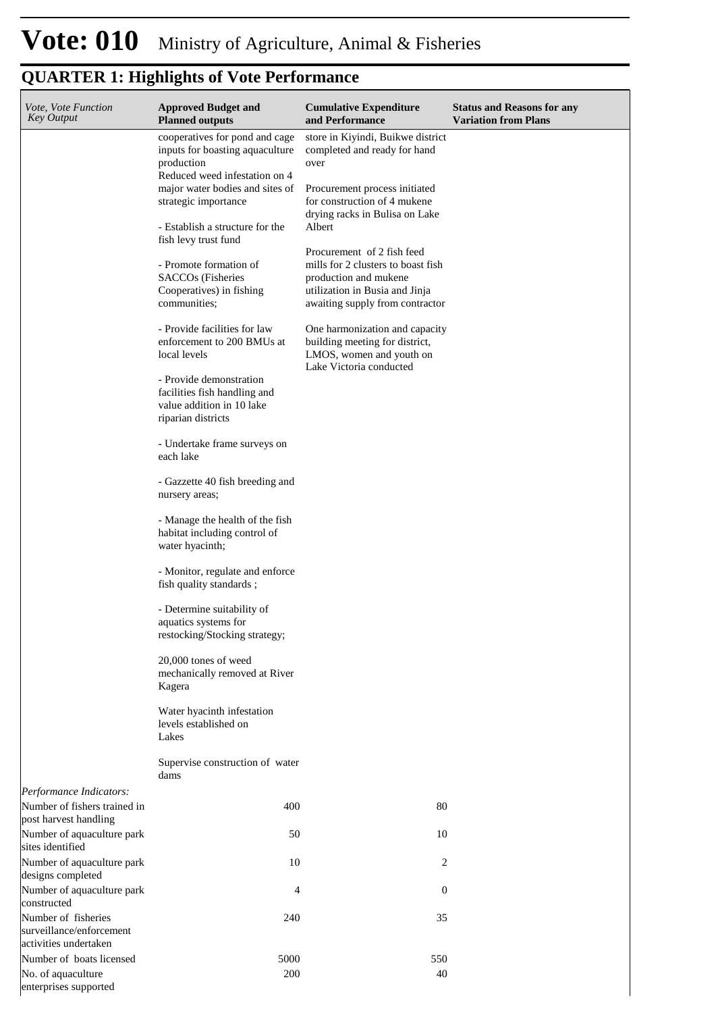| Vote, Vote Function<br><b>Key Output</b>                                         | <b>Approved Budget and</b><br><b>Planned outputs</b>                                                                                                                                                                                                                                                                                                                                                                                                                                                                                                                                                                                                                                                                                                                                                                                                                                                                                                                                                                 | <b>Cumulative Expenditure</b><br>and Performance                                                                                                                                                                                                                                                                                                                                                                                                                                    | <b>Status and Reasons for any</b><br><b>Variation from Plans</b> |
|----------------------------------------------------------------------------------|----------------------------------------------------------------------------------------------------------------------------------------------------------------------------------------------------------------------------------------------------------------------------------------------------------------------------------------------------------------------------------------------------------------------------------------------------------------------------------------------------------------------------------------------------------------------------------------------------------------------------------------------------------------------------------------------------------------------------------------------------------------------------------------------------------------------------------------------------------------------------------------------------------------------------------------------------------------------------------------------------------------------|-------------------------------------------------------------------------------------------------------------------------------------------------------------------------------------------------------------------------------------------------------------------------------------------------------------------------------------------------------------------------------------------------------------------------------------------------------------------------------------|------------------------------------------------------------------|
|                                                                                  | cooperatives for pond and cage<br>inputs for boasting aquaculture<br>production<br>Reduced weed infestation on 4<br>major water bodies and sites of<br>strategic importance<br>- Establish a structure for the<br>fish levy trust fund<br>- Promote formation of<br><b>SACCOs</b> (Fisheries<br>Cooperatives) in fishing<br>communities;<br>- Provide facilities for law<br>enforcement to 200 BMUs at<br>local levels<br>- Provide demonstration<br>facilities fish handling and<br>value addition in 10 lake<br>riparian districts<br>- Undertake frame surveys on<br>each lake<br>- Gazzette 40 fish breeding and<br>nursery areas;<br>- Manage the health of the fish<br>habitat including control of<br>water hyacinth;<br>- Monitor, regulate and enforce<br>fish quality standards;<br>- Determine suitability of<br>aquatics systems for<br>restocking/Stocking strategy;<br>20,000 tones of weed<br>mechanically removed at River<br>Kagera<br>Water hyacinth infestation<br>levels established on<br>Lakes | store in Kiyindi, Buikwe district<br>completed and ready for hand<br>over<br>Procurement process initiated<br>for construction of 4 mukene<br>drying racks in Bulisa on Lake<br>Albert<br>Procurement of 2 fish feed<br>mills for 2 clusters to boast fish<br>production and mukene<br>utilization in Busia and Jinja<br>awaiting supply from contractor<br>One harmonization and capacity<br>building meeting for district,<br>LMOS, women and youth on<br>Lake Victoria conducted |                                                                  |
|                                                                                  | Supervise construction of water<br>dams                                                                                                                                                                                                                                                                                                                                                                                                                                                                                                                                                                                                                                                                                                                                                                                                                                                                                                                                                                              |                                                                                                                                                                                                                                                                                                                                                                                                                                                                                     |                                                                  |
| Performance Indicators:<br>Number of fishers trained in<br>post harvest handling | 400                                                                                                                                                                                                                                                                                                                                                                                                                                                                                                                                                                                                                                                                                                                                                                                                                                                                                                                                                                                                                  | 80                                                                                                                                                                                                                                                                                                                                                                                                                                                                                  |                                                                  |
| Number of aquaculture park<br>sites identified                                   | 50                                                                                                                                                                                                                                                                                                                                                                                                                                                                                                                                                                                                                                                                                                                                                                                                                                                                                                                                                                                                                   | 10                                                                                                                                                                                                                                                                                                                                                                                                                                                                                  |                                                                  |
| Number of aquaculture park<br>designs completed                                  | 10                                                                                                                                                                                                                                                                                                                                                                                                                                                                                                                                                                                                                                                                                                                                                                                                                                                                                                                                                                                                                   | 2                                                                                                                                                                                                                                                                                                                                                                                                                                                                                   |                                                                  |
| Number of aquaculture park<br>constructed                                        | 4                                                                                                                                                                                                                                                                                                                                                                                                                                                                                                                                                                                                                                                                                                                                                                                                                                                                                                                                                                                                                    | $\boldsymbol{0}$                                                                                                                                                                                                                                                                                                                                                                                                                                                                    |                                                                  |
| Number of fisheries<br>surveillance/enforcement<br>activities undertaken         | 240                                                                                                                                                                                                                                                                                                                                                                                                                                                                                                                                                                                                                                                                                                                                                                                                                                                                                                                                                                                                                  | 35                                                                                                                                                                                                                                                                                                                                                                                                                                                                                  |                                                                  |
| Number of boats licensed                                                         | 5000                                                                                                                                                                                                                                                                                                                                                                                                                                                                                                                                                                                                                                                                                                                                                                                                                                                                                                                                                                                                                 | 550                                                                                                                                                                                                                                                                                                                                                                                                                                                                                 |                                                                  |
| No. of aquaculture<br>enterprises supported                                      | 200                                                                                                                                                                                                                                                                                                                                                                                                                                                                                                                                                                                                                                                                                                                                                                                                                                                                                                                                                                                                                  | 40                                                                                                                                                                                                                                                                                                                                                                                                                                                                                  |                                                                  |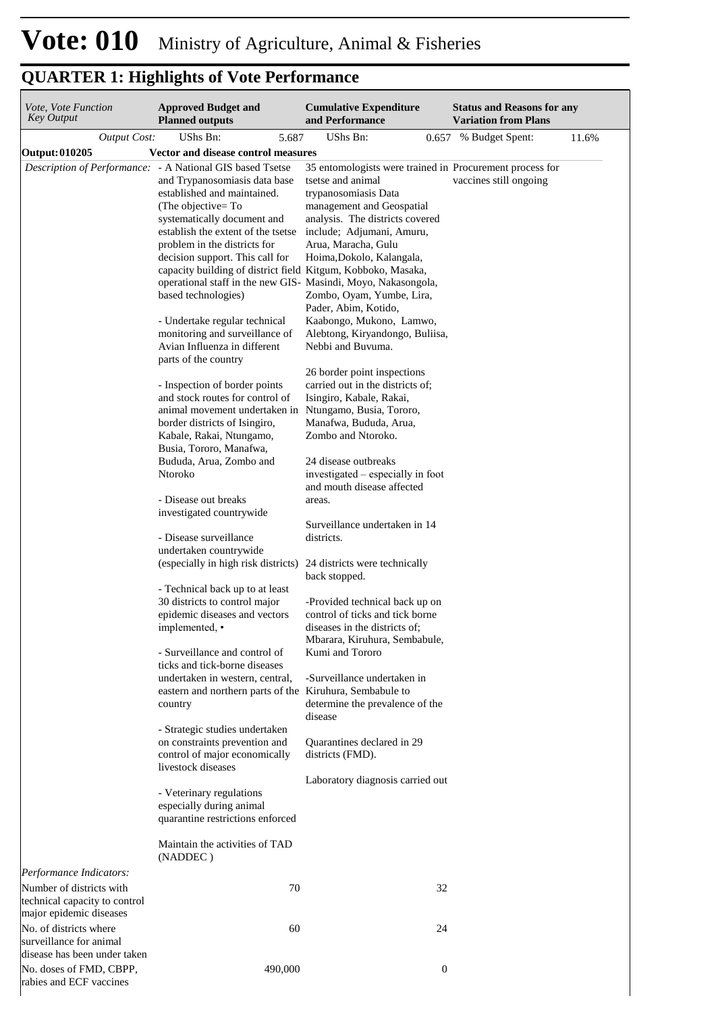| Vote, Vote Function<br><b>Key Output</b>                                             | <b>Approved Budget and</b><br><b>Planned outputs</b>                                                                                                                                                                                                                                                                                                                                                                                                                                                                                                                                                                                                                                                                                                                                                                                                                                                                                                                                                                                                                                                                                                                                 |         | <b>Cumulative Expenditure</b><br>and Performance                                                                                                                                                                                                                                                                                                                                                                                                                                                                                                                                                                                                                                                                                                                                                                                                                                                                                                                                                                                                                                                                                                                                                                                                                                                                                                                             |                  | <b>Status and Reasons for any</b><br><b>Variation from Plans</b> |       |
|--------------------------------------------------------------------------------------|--------------------------------------------------------------------------------------------------------------------------------------------------------------------------------------------------------------------------------------------------------------------------------------------------------------------------------------------------------------------------------------------------------------------------------------------------------------------------------------------------------------------------------------------------------------------------------------------------------------------------------------------------------------------------------------------------------------------------------------------------------------------------------------------------------------------------------------------------------------------------------------------------------------------------------------------------------------------------------------------------------------------------------------------------------------------------------------------------------------------------------------------------------------------------------------|---------|------------------------------------------------------------------------------------------------------------------------------------------------------------------------------------------------------------------------------------------------------------------------------------------------------------------------------------------------------------------------------------------------------------------------------------------------------------------------------------------------------------------------------------------------------------------------------------------------------------------------------------------------------------------------------------------------------------------------------------------------------------------------------------------------------------------------------------------------------------------------------------------------------------------------------------------------------------------------------------------------------------------------------------------------------------------------------------------------------------------------------------------------------------------------------------------------------------------------------------------------------------------------------------------------------------------------------------------------------------------------------|------------------|------------------------------------------------------------------|-------|
| <b>Output Cost:</b>                                                                  | UShs Bn:                                                                                                                                                                                                                                                                                                                                                                                                                                                                                                                                                                                                                                                                                                                                                                                                                                                                                                                                                                                                                                                                                                                                                                             | 5.687   | <b>UShs Bn:</b>                                                                                                                                                                                                                                                                                                                                                                                                                                                                                                                                                                                                                                                                                                                                                                                                                                                                                                                                                                                                                                                                                                                                                                                                                                                                                                                                                              |                  | 0.657 % Budget Spent:                                            | 11.6% |
| Output: 010205                                                                       | Vector and disease control measures                                                                                                                                                                                                                                                                                                                                                                                                                                                                                                                                                                                                                                                                                                                                                                                                                                                                                                                                                                                                                                                                                                                                                  |         |                                                                                                                                                                                                                                                                                                                                                                                                                                                                                                                                                                                                                                                                                                                                                                                                                                                                                                                                                                                                                                                                                                                                                                                                                                                                                                                                                                              |                  |                                                                  |       |
| Description of Performance: - A National GIS based Tsetse                            | and Trypanosomiasis data base<br>established and maintained.<br>(The objective=To<br>systematically document and<br>establish the extent of the tsetse<br>problem in the districts for<br>decision support. This call for<br>based technologies)<br>- Undertake regular technical<br>monitoring and surveillance of<br>Avian Influenza in different<br>parts of the country<br>- Inspection of border points<br>and stock routes for control of<br>border districts of Isingiro,<br>Kabale, Rakai, Ntungamo,<br>Busia, Tororo, Manafwa,<br>Bududa, Arua, Zombo and<br>Ntoroko<br>- Disease out breaks<br>investigated countrywide<br>- Disease surveillance<br>undertaken countrywide<br>- Technical back up to at least<br>30 districts to control major<br>epidemic diseases and vectors<br>implemented, •<br>- Surveillance and control of<br>ticks and tick-borne diseases<br>undertaken in western, central,<br>country<br>- Strategic studies undertaken<br>on constraints prevention and<br>control of major economically<br>livestock diseases<br>- Veterinary regulations<br>especially during animal<br>quarantine restrictions enforced<br>Maintain the activities of TAD |         | 35 entomologists were trained in Procurement process for<br>tsetse and animal<br>trypanosomiasis Data<br>management and Geospatial<br>analysis. The districts covered<br>include; Adjumani, Amuru,<br>Arua, Maracha, Gulu<br>Hoima, Dokolo, Kalangala,<br>capacity building of district field Kitgum, Kobboko, Masaka,<br>operational staff in the new GIS- Masindi, Moyo, Nakasongola,<br>Zombo, Oyam, Yumbe, Lira,<br>Pader, Abim, Kotido,<br>Kaabongo, Mukono, Lamwo,<br>Alebtong, Kiryandongo, Buliisa,<br>Nebbi and Buvuma.<br>26 border point inspections<br>carried out in the districts of;<br>Isingiro, Kabale, Rakai,<br>animal movement undertaken in Ntungamo, Busia, Tororo,<br>Manafwa, Bududa, Arua,<br>Zombo and Ntoroko.<br>24 disease outbreaks<br>investigated – especially in foot<br>and mouth disease affected<br>areas.<br>Surveillance undertaken in 14<br>districts.<br>(especially in high risk districts) 24 districts were technically<br>back stopped.<br>-Provided technical back up on<br>control of ticks and tick borne<br>diseases in the districts of;<br>Mbarara, Kiruhura, Sembabule,<br>Kumi and Tororo<br>-Surveillance undertaken in<br>eastern and northern parts of the Kiruhura, Sembabule to<br>determine the prevalence of the<br>disease<br>Quarantines declared in 29<br>districts (FMD).<br>Laboratory diagnosis carried out |                  | vaccines still ongoing                                           |       |
|                                                                                      | (NADDEC)                                                                                                                                                                                                                                                                                                                                                                                                                                                                                                                                                                                                                                                                                                                                                                                                                                                                                                                                                                                                                                                                                                                                                                             |         |                                                                                                                                                                                                                                                                                                                                                                                                                                                                                                                                                                                                                                                                                                                                                                                                                                                                                                                                                                                                                                                                                                                                                                                                                                                                                                                                                                              |                  |                                                                  |       |
| Performance Indicators:<br>Number of districts with<br>technical capacity to control |                                                                                                                                                                                                                                                                                                                                                                                                                                                                                                                                                                                                                                                                                                                                                                                                                                                                                                                                                                                                                                                                                                                                                                                      | 70      |                                                                                                                                                                                                                                                                                                                                                                                                                                                                                                                                                                                                                                                                                                                                                                                                                                                                                                                                                                                                                                                                                                                                                                                                                                                                                                                                                                              | 32               |                                                                  |       |
| major epidemic diseases<br>No. of districts where<br>surveillance for animal         |                                                                                                                                                                                                                                                                                                                                                                                                                                                                                                                                                                                                                                                                                                                                                                                                                                                                                                                                                                                                                                                                                                                                                                                      | 60      |                                                                                                                                                                                                                                                                                                                                                                                                                                                                                                                                                                                                                                                                                                                                                                                                                                                                                                                                                                                                                                                                                                                                                                                                                                                                                                                                                                              | 24               |                                                                  |       |
| disease has been under taken<br>No. doses of FMD, CBPP,<br>rabies and ECF vaccines   |                                                                                                                                                                                                                                                                                                                                                                                                                                                                                                                                                                                                                                                                                                                                                                                                                                                                                                                                                                                                                                                                                                                                                                                      | 490,000 |                                                                                                                                                                                                                                                                                                                                                                                                                                                                                                                                                                                                                                                                                                                                                                                                                                                                                                                                                                                                                                                                                                                                                                                                                                                                                                                                                                              | $\boldsymbol{0}$ |                                                                  |       |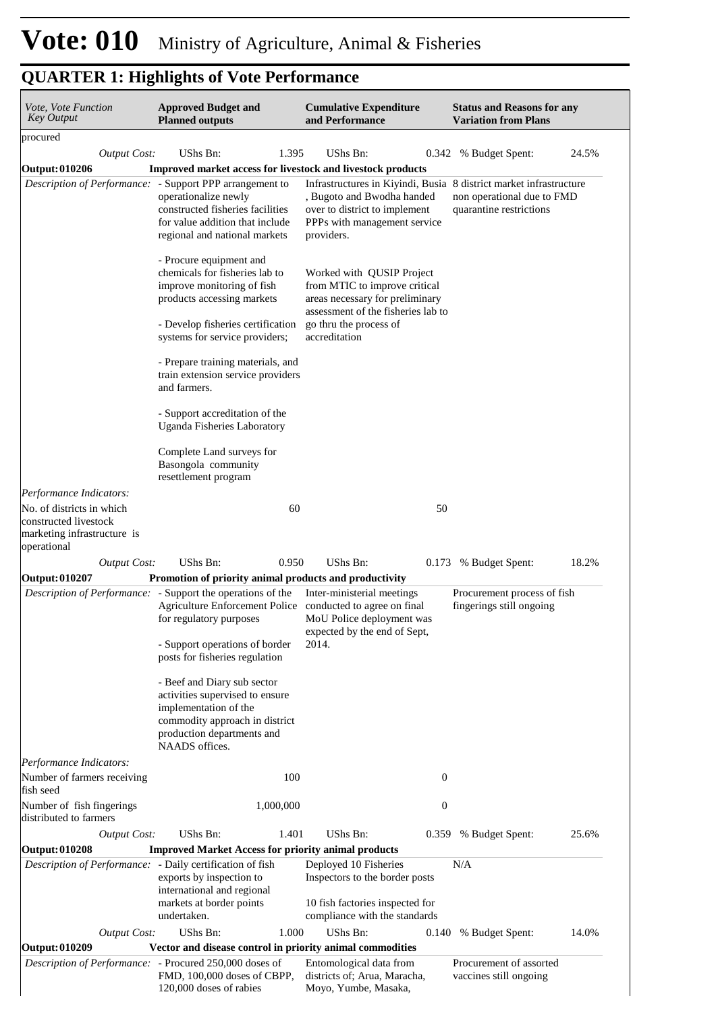| Vote, Vote Function<br><b>Key Output</b>                  | <b>Approved Budget and</b><br><b>Planned outputs</b>                                                                                                                                         | <b>Cumulative Expenditure</b><br>and Performance                                                                                                                                | <b>Status and Reasons for any</b><br><b>Variation from Plans</b> |
|-----------------------------------------------------------|----------------------------------------------------------------------------------------------------------------------------------------------------------------------------------------------|---------------------------------------------------------------------------------------------------------------------------------------------------------------------------------|------------------------------------------------------------------|
| procured                                                  |                                                                                                                                                                                              |                                                                                                                                                                                 |                                                                  |
| <b>Output Cost:</b>                                       | UShs Bn:<br>1.395                                                                                                                                                                            | UShs Bn:<br>0.342                                                                                                                                                               | % Budget Spent:<br>24.5%                                         |
| Output: 010206                                            | Improved market access for livestock and livestock products                                                                                                                                  |                                                                                                                                                                                 |                                                                  |
|                                                           | Description of Performance: - Support PPP arrangement to<br>operationalize newly<br>constructed fisheries facilities<br>for value addition that include<br>regional and national markets     | Infrastructures in Kiyindi, Busia 8 district market infrastructure<br>, Bugoto and Bwodha handed<br>over to district to implement<br>PPPs with management service<br>providers. | non operational due to FMD<br>quarantine restrictions            |
|                                                           | - Procure equipment and<br>chemicals for fisheries lab to<br>improve monitoring of fish<br>products accessing markets<br>- Develop fisheries certification<br>systems for service providers; | Worked with QUSIP Project<br>from MTIC to improve critical<br>areas necessary for preliminary<br>assessment of the fisheries lab to<br>go thru the process of<br>accreditation  |                                                                  |
|                                                           | - Prepare training materials, and<br>train extension service providers<br>and farmers.                                                                                                       |                                                                                                                                                                                 |                                                                  |
|                                                           | - Support accreditation of the<br><b>Uganda Fisheries Laboratory</b>                                                                                                                         |                                                                                                                                                                                 |                                                                  |
|                                                           | Complete Land surveys for<br>Basongola community<br>resettlement program                                                                                                                     |                                                                                                                                                                                 |                                                                  |
| Performance Indicators:                                   |                                                                                                                                                                                              |                                                                                                                                                                                 |                                                                  |
| No. of districts in which<br>constructed livestock        | 60                                                                                                                                                                                           | 50                                                                                                                                                                              |                                                                  |
| marketing infrastructure is                               |                                                                                                                                                                                              |                                                                                                                                                                                 |                                                                  |
| operational                                               |                                                                                                                                                                                              |                                                                                                                                                                                 |                                                                  |
| <b>Output Cost:</b><br><b>Output: 010207</b>              | UShs Bn:<br>0.950<br>Promotion of priority animal products and productivity                                                                                                                  | UShs Bn:                                                                                                                                                                        | 18.2%<br>0.173 % Budget Spent:                                   |
|                                                           | Description of Performance: - Support the operations of the<br>Agriculture Enforcement Police conducted to agree on final<br>for regulatory purposes                                         | Inter-ministerial meetings<br>MoU Police deployment was                                                                                                                         | Procurement process of fish<br>fingerings still ongoing          |
|                                                           | - Support operations of border<br>posts for fisheries regulation                                                                                                                             | expected by the end of Sept,<br>2014.                                                                                                                                           |                                                                  |
|                                                           | - Beef and Diary sub sector<br>activities supervised to ensure<br>implementation of the<br>commodity approach in district<br>production departments and<br>NAADS offices.                    |                                                                                                                                                                                 |                                                                  |
| Performance Indicators:                                   |                                                                                                                                                                                              |                                                                                                                                                                                 |                                                                  |
| Number of farmers receiving<br>fish seed                  | 100                                                                                                                                                                                          | $\boldsymbol{0}$                                                                                                                                                                |                                                                  |
| Number of fish fingerings<br>distributed to farmers       | 1,000,000                                                                                                                                                                                    | $\boldsymbol{0}$                                                                                                                                                                |                                                                  |
| <b>Output Cost:</b>                                       | UShs Bn:<br>1.401                                                                                                                                                                            | UShs Bn:<br>0.359                                                                                                                                                               | 25.6%<br>% Budget Spent:                                         |
| <b>Output: 010208</b>                                     | <b>Improved Market Access for priority animal products</b>                                                                                                                                   |                                                                                                                                                                                 |                                                                  |
| Description of Performance: - Daily certification of fish | exports by inspection to<br>international and regional<br>markets at border points                                                                                                           | Deployed 10 Fisheries<br>Inspectors to the border posts<br>10 fish factories inspected for                                                                                      | N/A                                                              |
|                                                           | undertaken.                                                                                                                                                                                  | compliance with the standards                                                                                                                                                   |                                                                  |
| <b>Output Cost:</b>                                       | UShs Bn:<br>1.000                                                                                                                                                                            | UShs Bn:<br>0.140                                                                                                                                                               | % Budget Spent:<br>14.0%                                         |
| <b>Output: 010209</b>                                     | Vector and disease control in priority animal commodities                                                                                                                                    |                                                                                                                                                                                 |                                                                  |
| Description of Performance: - Procured 250,000 doses of   | FMD, 100,000 doses of CBPP,<br>120,000 doses of rabies                                                                                                                                       | Entomological data from<br>districts of; Arua, Maracha,<br>Moyo, Yumbe, Masaka,                                                                                                 | Procurement of assorted<br>vaccines still ongoing                |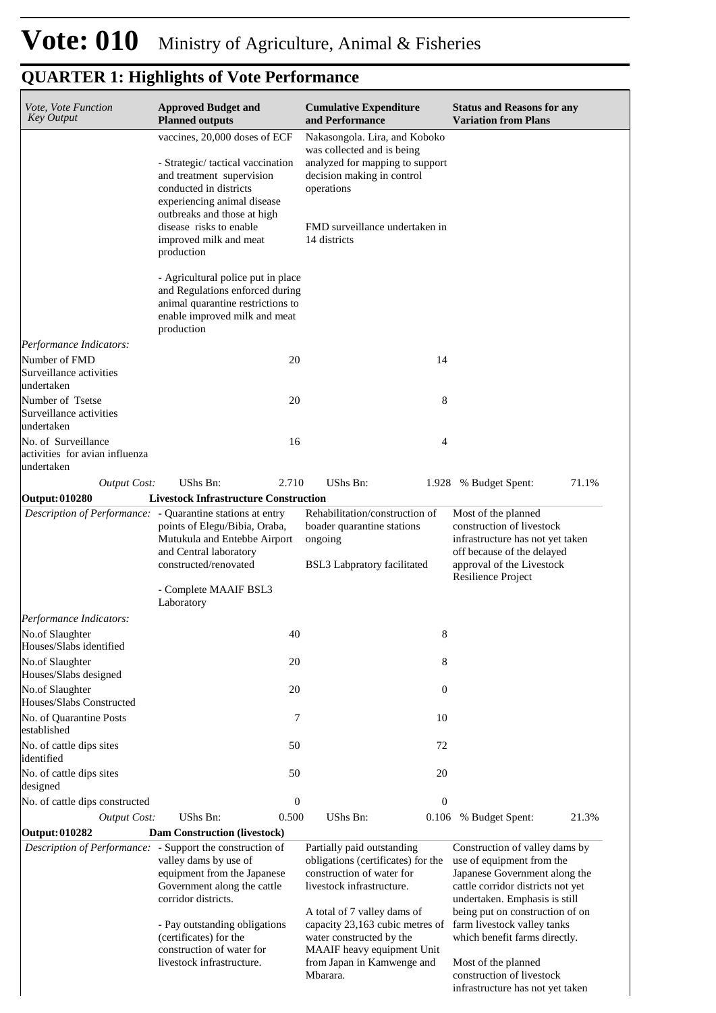| Vote, Vote Function<br><b>Key Output</b>                            | <b>Approved Budget and</b><br><b>Planned outputs</b>                                                                                                                                                                                                                                                                                                                                                     | <b>Cumulative Expenditure</b><br>and Performance                                                                                                                                                                                                                                     | <b>Status and Reasons for any</b><br><b>Variation from Plans</b>                                                                                                                                                                                                                             |
|---------------------------------------------------------------------|----------------------------------------------------------------------------------------------------------------------------------------------------------------------------------------------------------------------------------------------------------------------------------------------------------------------------------------------------------------------------------------------------------|--------------------------------------------------------------------------------------------------------------------------------------------------------------------------------------------------------------------------------------------------------------------------------------|----------------------------------------------------------------------------------------------------------------------------------------------------------------------------------------------------------------------------------------------------------------------------------------------|
|                                                                     | vaccines, 20,000 doses of ECF<br>- Strategic/tactical vaccination<br>and treatment supervision<br>conducted in districts<br>experiencing animal disease<br>outbreaks and those at high<br>disease risks to enable<br>improved milk and meat<br>production<br>- Agricultural police put in place<br>and Regulations enforced during<br>animal quarantine restrictions to<br>enable improved milk and meat | Nakasongola. Lira, and Koboko<br>was collected and is being<br>analyzed for mapping to support<br>decision making in control<br>operations<br>FMD surveillance undertaken in<br>14 districts                                                                                         |                                                                                                                                                                                                                                                                                              |
|                                                                     | production                                                                                                                                                                                                                                                                                                                                                                                               |                                                                                                                                                                                                                                                                                      |                                                                                                                                                                                                                                                                                              |
| Performance Indicators:                                             |                                                                                                                                                                                                                                                                                                                                                                                                          |                                                                                                                                                                                                                                                                                      |                                                                                                                                                                                                                                                                                              |
| Number of FMD<br>Surveillance activities<br>undertaken              | 20                                                                                                                                                                                                                                                                                                                                                                                                       | 14                                                                                                                                                                                                                                                                                   |                                                                                                                                                                                                                                                                                              |
| Number of Tsetse<br>Surveillance activities<br>undertaken           | 20                                                                                                                                                                                                                                                                                                                                                                                                       | 8                                                                                                                                                                                                                                                                                    |                                                                                                                                                                                                                                                                                              |
| No. of Surveillance<br>activities for avian influenza<br>undertaken | 16                                                                                                                                                                                                                                                                                                                                                                                                       | 4                                                                                                                                                                                                                                                                                    |                                                                                                                                                                                                                                                                                              |
| <b>Output Cost:</b>                                                 | UShs Bn:<br>2.710                                                                                                                                                                                                                                                                                                                                                                                        | <b>UShs Bn:</b>                                                                                                                                                                                                                                                                      | 1.928 % Budget Spent:<br>71.1%                                                                                                                                                                                                                                                               |
| Output: 010280                                                      | <b>Livestock Infrastructure Construction</b>                                                                                                                                                                                                                                                                                                                                                             |                                                                                                                                                                                                                                                                                      |                                                                                                                                                                                                                                                                                              |
|                                                                     | Description of Performance: - Quarantine stations at entry<br>points of Elegu/Bibia, Oraba,<br>Mutukula and Entebbe Airport<br>and Central laboratory<br>constructed/renovated                                                                                                                                                                                                                           | Rehabilitation/construction of<br>boader quarantine stations<br>ongoing<br><b>BSL3</b> Labpratory facilitated                                                                                                                                                                        | Most of the planned<br>construction of livestock<br>infrastructure has not yet taken<br>off because of the delayed<br>approval of the Livestock<br>Resilience Project                                                                                                                        |
|                                                                     | - Complete MAAIF BSL3<br>Laboratory                                                                                                                                                                                                                                                                                                                                                                      |                                                                                                                                                                                                                                                                                      |                                                                                                                                                                                                                                                                                              |
| Performance Indicators:                                             |                                                                                                                                                                                                                                                                                                                                                                                                          |                                                                                                                                                                                                                                                                                      |                                                                                                                                                                                                                                                                                              |
| No.of Slaughter<br>Houses/Slabs identified                          | 40                                                                                                                                                                                                                                                                                                                                                                                                       | 8                                                                                                                                                                                                                                                                                    |                                                                                                                                                                                                                                                                                              |
| No.of Slaughter<br>Houses/Slabs designed                            | 20                                                                                                                                                                                                                                                                                                                                                                                                       | 8                                                                                                                                                                                                                                                                                    |                                                                                                                                                                                                                                                                                              |
| No.of Slaughter                                                     | 20                                                                                                                                                                                                                                                                                                                                                                                                       | $\mathbf{0}$                                                                                                                                                                                                                                                                         |                                                                                                                                                                                                                                                                                              |
| Houses/Slabs Constructed<br>No. of Quarantine Posts                 | 7                                                                                                                                                                                                                                                                                                                                                                                                        | 10                                                                                                                                                                                                                                                                                   |                                                                                                                                                                                                                                                                                              |
| established<br>No. of cattle dips sites                             | 50                                                                                                                                                                                                                                                                                                                                                                                                       | 72                                                                                                                                                                                                                                                                                   |                                                                                                                                                                                                                                                                                              |
| identified<br>No. of cattle dips sites                              | 50                                                                                                                                                                                                                                                                                                                                                                                                       | 20                                                                                                                                                                                                                                                                                   |                                                                                                                                                                                                                                                                                              |
| designed<br>No. of cattle dips constructed                          | $\boldsymbol{0}$                                                                                                                                                                                                                                                                                                                                                                                         | $\boldsymbol{0}$                                                                                                                                                                                                                                                                     |                                                                                                                                                                                                                                                                                              |
| <b>Output Cost:</b>                                                 | UShs Bn:<br>0.500                                                                                                                                                                                                                                                                                                                                                                                        | UShs Bn:<br>0.106                                                                                                                                                                                                                                                                    | % Budget Spent:<br>21.3%                                                                                                                                                                                                                                                                     |
| Output: 010282                                                      | <b>Dam Construction (livestock)</b>                                                                                                                                                                                                                                                                                                                                                                      |                                                                                                                                                                                                                                                                                      |                                                                                                                                                                                                                                                                                              |
|                                                                     | Description of Performance: - Support the construction of<br>valley dams by use of<br>equipment from the Japanese<br>Government along the cattle<br>corridor districts.<br>- Pay outstanding obligations<br>(certificates) for the<br>construction of water for<br>livestock infrastructure.                                                                                                             | Partially paid outstanding<br>obligations (certificates) for the<br>construction of water for<br>livestock infrastructure.<br>A total of 7 valley dams of<br>capacity 23,163 cubic metres of<br>water constructed by the<br>MAAIF heavy equipment Unit<br>from Japan in Kamwenge and | Construction of valley dams by<br>use of equipment from the<br>Japanese Government along the<br>cattle corridor districts not yet<br>undertaken. Emphasis is still<br>being put on construction of on<br>farm livestock valley tanks<br>which benefit farms directly.<br>Most of the planned |
|                                                                     |                                                                                                                                                                                                                                                                                                                                                                                                          | Mbarara.                                                                                                                                                                                                                                                                             | construction of livestock<br>infrastructure has not yet taken                                                                                                                                                                                                                                |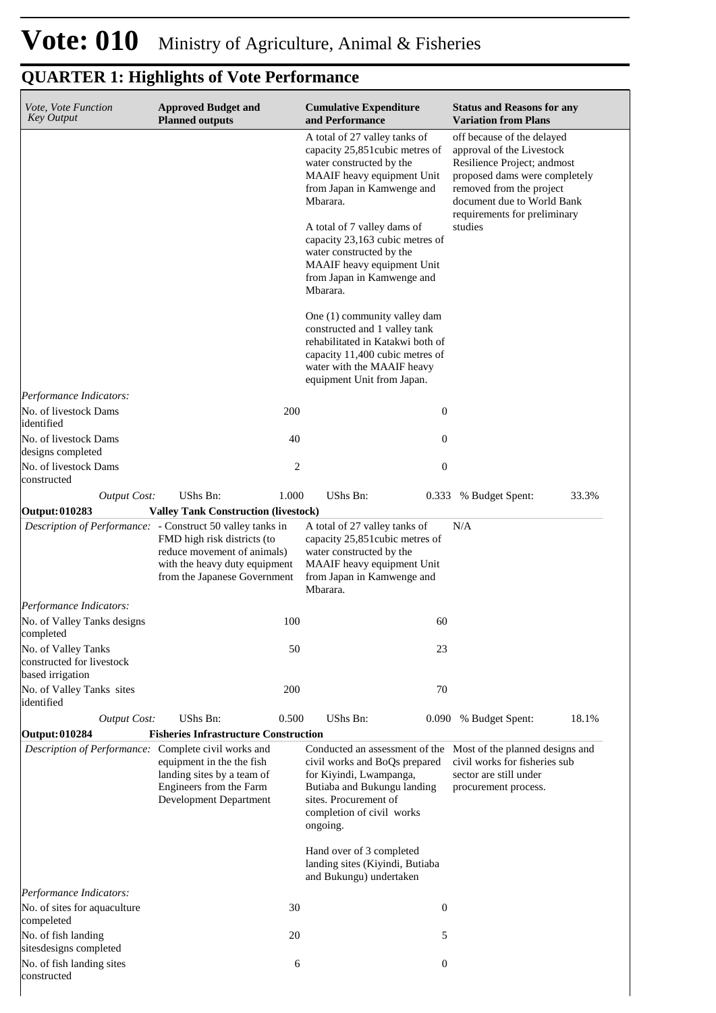| Vote, Vote Function<br><b>Key Output</b>                             | <b>Approved Budget and</b><br><b>Planned outputs</b>                                                                        |                | <b>Cumulative Expenditure</b><br>and Performance                                                                                                                                                 | <b>Status and Reasons for any</b><br><b>Variation from Plans</b>                                                                                                                                                  |
|----------------------------------------------------------------------|-----------------------------------------------------------------------------------------------------------------------------|----------------|--------------------------------------------------------------------------------------------------------------------------------------------------------------------------------------------------|-------------------------------------------------------------------------------------------------------------------------------------------------------------------------------------------------------------------|
|                                                                      |                                                                                                                             |                | A total of 27 valley tanks of<br>capacity 25,851 cubic metres of<br>water constructed by the<br>MAAIF heavy equipment Unit<br>from Japan in Kamwenge and<br>Mbarara.                             | off because of the delayed<br>approval of the Livestock<br>Resilience Project; andmost<br>proposed dams were completely<br>removed from the project<br>document due to World Bank<br>requirements for preliminary |
|                                                                      |                                                                                                                             |                | A total of 7 valley dams of<br>capacity 23,163 cubic metres of<br>water constructed by the<br>MAAIF heavy equipment Unit<br>from Japan in Kamwenge and<br>Mbarara.                               | studies                                                                                                                                                                                                           |
|                                                                      |                                                                                                                             |                | One (1) community valley dam<br>constructed and 1 valley tank<br>rehabilitated in Katakwi both of<br>capacity 11,400 cubic metres of<br>water with the MAAIF heavy<br>equipment Unit from Japan. |                                                                                                                                                                                                                   |
| Performance Indicators:<br>No. of livestock Dams<br>identified       |                                                                                                                             | 200            | 0                                                                                                                                                                                                |                                                                                                                                                                                                                   |
| No. of livestock Dams<br>designs completed                           |                                                                                                                             | 40             | 0                                                                                                                                                                                                |                                                                                                                                                                                                                   |
| No. of livestock Dams<br>constructed                                 |                                                                                                                             | $\overline{c}$ | $\boldsymbol{0}$                                                                                                                                                                                 |                                                                                                                                                                                                                   |
| <b>Output Cost:</b>                                                  | UShs Bn:                                                                                                                    | 1.000          | UShs Bn:<br>0.333                                                                                                                                                                                | 33.3%<br>% Budget Spent:                                                                                                                                                                                          |
| Output: 010283                                                       | <b>Valley Tank Construction (livestock)</b>                                                                                 |                |                                                                                                                                                                                                  |                                                                                                                                                                                                                   |
| <i>Description of Performance:</i> - Construct 50 valley tanks in    | FMD high risk districts (to<br>reduce movement of animals)<br>with the heavy duty equipment<br>from the Japanese Government |                | A total of 27 valley tanks of<br>capacity 25,851 cubic metres of<br>water constructed by the<br>MAAIF heavy equipment Unit<br>from Japan in Kamwenge and<br>Mbarara.                             | N/A                                                                                                                                                                                                               |
| Performance Indicators:                                              |                                                                                                                             |                |                                                                                                                                                                                                  |                                                                                                                                                                                                                   |
| No. of Valley Tanks designs<br>completed                             |                                                                                                                             | 100            | 60                                                                                                                                                                                               |                                                                                                                                                                                                                   |
| No. of Valley Tanks<br>constructed for livestock<br>based irrigation |                                                                                                                             | 50             | 23                                                                                                                                                                                               |                                                                                                                                                                                                                   |
| No. of Valley Tanks sites<br>identified                              |                                                                                                                             | 200            | 70                                                                                                                                                                                               |                                                                                                                                                                                                                   |
| <b>Output Cost:</b>                                                  | UShs Bn:                                                                                                                    | 0.500          | UShs Bn:<br>0.090                                                                                                                                                                                | 18.1%<br>% Budget Spent:                                                                                                                                                                                          |
| <b>Output: 010284</b>                                                | <b>Fisheries Infrastructure Construction</b>                                                                                |                |                                                                                                                                                                                                  |                                                                                                                                                                                                                   |
| Description of Performance: Complete civil works and                 | equipment in the the fish<br>landing sites by a team of<br>Engineers from the Farm<br>Development Department                |                | Conducted an assessment of the<br>civil works and BoQs prepared<br>for Kiyindi, Lwampanga,<br>Butiaba and Bukungu landing<br>sites. Procurement of<br>completion of civil works<br>ongoing.      | Most of the planned designs and<br>civil works for fisheries sub<br>sector are still under<br>procurement process.                                                                                                |
|                                                                      |                                                                                                                             |                | Hand over of 3 completed<br>landing sites (Kiyindi, Butiaba<br>and Bukungu) undertaken                                                                                                           |                                                                                                                                                                                                                   |
| Performance Indicators:<br>No. of sites for aquaculture              |                                                                                                                             | 30             | 0                                                                                                                                                                                                |                                                                                                                                                                                                                   |
| compeleted<br>No. of fish landing                                    |                                                                                                                             | 20             | 5                                                                                                                                                                                                |                                                                                                                                                                                                                   |
| sitesdesigns completed<br>No. of fish landing sites                  |                                                                                                                             | 6              | $\boldsymbol{0}$                                                                                                                                                                                 |                                                                                                                                                                                                                   |
| constructed                                                          |                                                                                                                             |                |                                                                                                                                                                                                  |                                                                                                                                                                                                                   |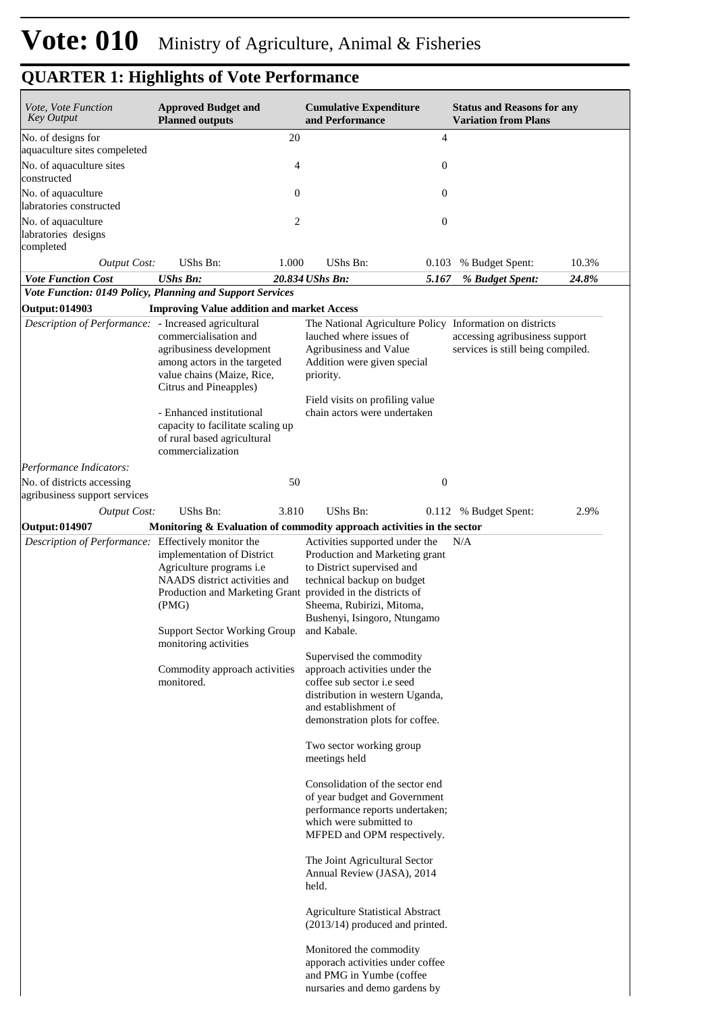| <b>Approved Budget and</b>                                                                                                                                                                        | <b>Cumulative Expenditure</b><br>and Performance                                                                                                                                                                     |                                                                                                                                                                                                                                                                              | <b>Variation from Plans</b>                                                                                                                                                                                                                                                                                                                                                                                                                                                                                                         |                                                                                                                                                                                                                                                                                            |
|---------------------------------------------------------------------------------------------------------------------------------------------------------------------------------------------------|----------------------------------------------------------------------------------------------------------------------------------------------------------------------------------------------------------------------|------------------------------------------------------------------------------------------------------------------------------------------------------------------------------------------------------------------------------------------------------------------------------|-------------------------------------------------------------------------------------------------------------------------------------------------------------------------------------------------------------------------------------------------------------------------------------------------------------------------------------------------------------------------------------------------------------------------------------------------------------------------------------------------------------------------------------|--------------------------------------------------------------------------------------------------------------------------------------------------------------------------------------------------------------------------------------------------------------------------------------------|
|                                                                                                                                                                                                   |                                                                                                                                                                                                                      | 4                                                                                                                                                                                                                                                                            |                                                                                                                                                                                                                                                                                                                                                                                                                                                                                                                                     |                                                                                                                                                                                                                                                                                            |
|                                                                                                                                                                                                   |                                                                                                                                                                                                                      |                                                                                                                                                                                                                                                                              |                                                                                                                                                                                                                                                                                                                                                                                                                                                                                                                                     |                                                                                                                                                                                                                                                                                            |
|                                                                                                                                                                                                   |                                                                                                                                                                                                                      | $\boldsymbol{0}$                                                                                                                                                                                                                                                             |                                                                                                                                                                                                                                                                                                                                                                                                                                                                                                                                     |                                                                                                                                                                                                                                                                                            |
|                                                                                                                                                                                                   |                                                                                                                                                                                                                      | $\boldsymbol{0}$                                                                                                                                                                                                                                                             |                                                                                                                                                                                                                                                                                                                                                                                                                                                                                                                                     |                                                                                                                                                                                                                                                                                            |
|                                                                                                                                                                                                   |                                                                                                                                                                                                                      | $\mathbf{0}$                                                                                                                                                                                                                                                                 |                                                                                                                                                                                                                                                                                                                                                                                                                                                                                                                                     |                                                                                                                                                                                                                                                                                            |
| <b>Output Cost:</b><br>UShs Bn:                                                                                                                                                                   | UShs Bn:                                                                                                                                                                                                             |                                                                                                                                                                                                                                                                              | % Budget Spent:                                                                                                                                                                                                                                                                                                                                                                                                                                                                                                                     | 10.3%                                                                                                                                                                                                                                                                                      |
| <b>UShs Bn:</b>                                                                                                                                                                                   |                                                                                                                                                                                                                      |                                                                                                                                                                                                                                                                              | % Budget Spent:                                                                                                                                                                                                                                                                                                                                                                                                                                                                                                                     | 24.8%                                                                                                                                                                                                                                                                                      |
| Vote Function: 0149 Policy, Planning and Support Services                                                                                                                                         |                                                                                                                                                                                                                      |                                                                                                                                                                                                                                                                              |                                                                                                                                                                                                                                                                                                                                                                                                                                                                                                                                     |                                                                                                                                                                                                                                                                                            |
|                                                                                                                                                                                                   |                                                                                                                                                                                                                      |                                                                                                                                                                                                                                                                              |                                                                                                                                                                                                                                                                                                                                                                                                                                                                                                                                     |                                                                                                                                                                                                                                                                                            |
| Description of Performance: - Increased agricultural<br>commercialisation and<br>agribusiness development<br>among actors in the targeted<br>value chains (Maize, Rice,<br>Citrus and Pineapples) | lauched where issues of<br>Agribusiness and Value<br>Addition were given special<br>priority.                                                                                                                        |                                                                                                                                                                                                                                                                              |                                                                                                                                                                                                                                                                                                                                                                                                                                                                                                                                     |                                                                                                                                                                                                                                                                                            |
| - Enhanced institutional<br>capacity to facilitate scaling up<br>of rural based agricultural<br>commercialization                                                                                 |                                                                                                                                                                                                                      |                                                                                                                                                                                                                                                                              |                                                                                                                                                                                                                                                                                                                                                                                                                                                                                                                                     |                                                                                                                                                                                                                                                                                            |
|                                                                                                                                                                                                   |                                                                                                                                                                                                                      |                                                                                                                                                                                                                                                                              |                                                                                                                                                                                                                                                                                                                                                                                                                                                                                                                                     |                                                                                                                                                                                                                                                                                            |
|                                                                                                                                                                                                   |                                                                                                                                                                                                                      | $\boldsymbol{0}$                                                                                                                                                                                                                                                             |                                                                                                                                                                                                                                                                                                                                                                                                                                                                                                                                     |                                                                                                                                                                                                                                                                                            |
| UShs Bn:<br><b>Output Cost:</b>                                                                                                                                                                   | UShs Bn:                                                                                                                                                                                                             |                                                                                                                                                                                                                                                                              |                                                                                                                                                                                                                                                                                                                                                                                                                                                                                                                                     | 2.9%                                                                                                                                                                                                                                                                                       |
|                                                                                                                                                                                                   |                                                                                                                                                                                                                      |                                                                                                                                                                                                                                                                              |                                                                                                                                                                                                                                                                                                                                                                                                                                                                                                                                     |                                                                                                                                                                                                                                                                                            |
| Agriculture programs i.e<br>NAADS district activities and<br>(PMG)<br>monitoring activities<br>monitored.                                                                                         | to District supervised and<br>technical backup on budget<br>Sheema, Rubirizi, Mitoma,<br>Supervised the commodity<br>coffee sub sector i.e seed<br>and establishment of<br>Two sector working group<br>meetings held |                                                                                                                                                                                                                                                                              |                                                                                                                                                                                                                                                                                                                                                                                                                                                                                                                                     |                                                                                                                                                                                                                                                                                            |
|                                                                                                                                                                                                   | which were submitted to<br>held.                                                                                                                                                                                     |                                                                                                                                                                                                                                                                              |                                                                                                                                                                                                                                                                                                                                                                                                                                                                                                                                     |                                                                                                                                                                                                                                                                                            |
|                                                                                                                                                                                                   | <b>Planned outputs</b><br>Description of Performance: Effectively monitor the<br>implementation of District                                                                                                          | 20<br>4<br>$\boldsymbol{0}$<br>2<br>1.000<br>20.834 UShs Bn:<br><b>Improving Value addition and market Access</b><br>50<br>3.810<br>Production and Marketing Grant provided in the districts of<br>Support Sector Working Group and Kabale.<br>Commodity approach activities | 5.167<br>Field visits on profiling value<br>chain actors were undertaken<br>Activities supported under the<br>Production and Marketing grant<br>Bushenyi, Isingoro, Ntungamo<br>approach activities under the<br>distribution in western Uganda,<br>demonstration plots for coffee.<br>Consolidation of the sector end<br>of year budget and Government<br>performance reports undertaken;<br>MFPED and OPM respectively.<br>The Joint Agricultural Sector<br>Annual Review (JASA), 2014<br><b>Agriculture Statistical Abstract</b> | <b>Status and Reasons for any</b><br>0.103<br>The National Agriculture Policy Information on districts<br>accessing agribusiness support<br>services is still being compiled.<br>0.112<br>% Budget Spent:<br>Monitoring & Evaluation of commodity approach activities in the sector<br>N/A |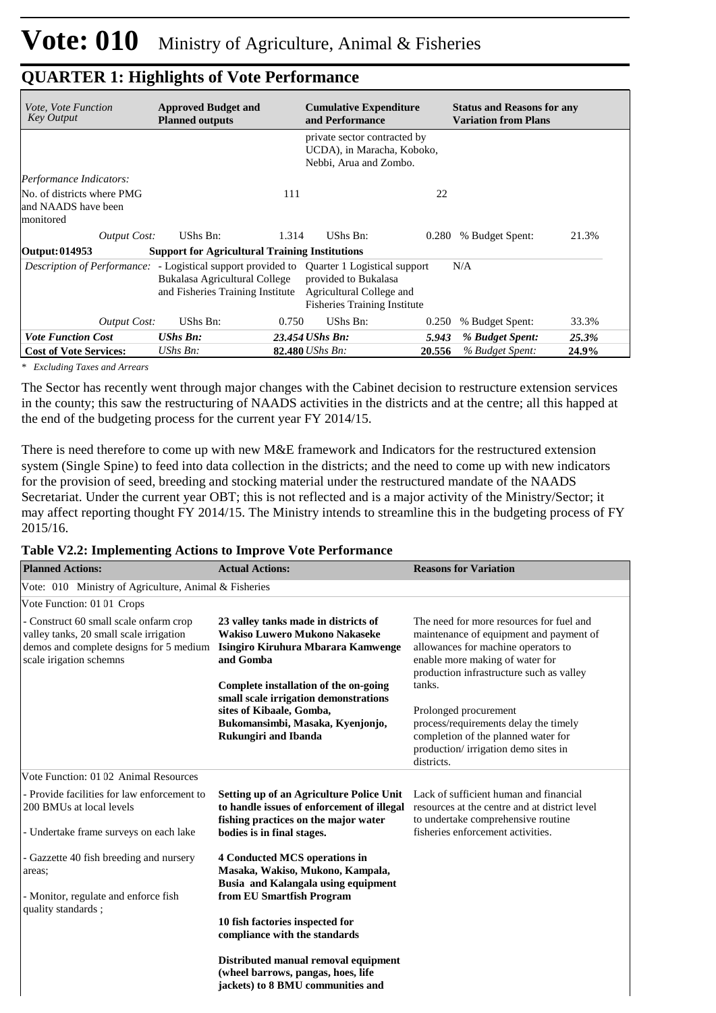| <i>Vote, Vote Function</i><br><b>Key Output</b>                | <b>Approved Budget and</b><br><b>Planned outputs</b>                                                                                                                  | <b>Cumulative Expenditure</b><br>and Performance                                        | <b>Status and Reasons for any</b><br><b>Variation from Plans</b> |
|----------------------------------------------------------------|-----------------------------------------------------------------------------------------------------------------------------------------------------------------------|-----------------------------------------------------------------------------------------|------------------------------------------------------------------|
|                                                                |                                                                                                                                                                       | private sector contracted by<br>UCDA), in Maracha, Koboko,<br>Nebbi, Arua and Zombo.    |                                                                  |
| Performance Indicators:                                        |                                                                                                                                                                       |                                                                                         |                                                                  |
| No. of districts where PMG<br>and NAADS have been<br>monitored | 111                                                                                                                                                                   | 22                                                                                      |                                                                  |
| <b>Output Cost:</b>                                            | UShs Bn:<br>1.314                                                                                                                                                     | UShs Bn:<br>0.280                                                                       | % Budget Spent:<br>21.3%                                         |
| Output: 014953                                                 | <b>Support for Agricultural Training Institutions</b>                                                                                                                 |                                                                                         |                                                                  |
|                                                                | <i>Description of Performance:</i> - Logistical support provided to Quarter 1 Logistical support<br>Bukalasa Agricultural College<br>and Fisheries Training Institute | provided to Bukalasa<br>Agricultural College and<br><b>Fisheries Training Institute</b> | N/A                                                              |
| <b>Output Cost:</b>                                            | UShs Bn:<br>0.750                                                                                                                                                     | UShs Bn:<br>0.250                                                                       | 33.3%<br>% Budget Spent:                                         |
| <b>Vote Function Cost</b>                                      | <b>UShs Bn:</b>                                                                                                                                                       | 23.454 UShs Bn:<br>5.943                                                                | 25.3%<br>% Budget Spent:                                         |
| <b>Cost of Vote Services:</b>                                  | UShs Bn:                                                                                                                                                              | <b>82.480</b> UShs Bn:<br>20.556                                                        | 24.9%<br>% Budget Spent:                                         |

*\* Excluding Taxes and Arrears*

The Sector has recently went through major changes with the Cabinet decision to restructure extension services in the county; this saw the restructuring of NAADS activities in the districts and at the centre; all this happed at the end of the budgeting process for the current year FY 2014/15.

There is need therefore to come up with new M&E framework and Indicators for the restructured extension system (Single Spine) to feed into data collection in the districts; and the need to come up with new indicators for the provision of seed, breeding and stocking material under the restructured mandate of the NAADS Secretariat. Under the current year OBT; this is not reflected and is a major activity of the Ministry/Sector; it may affect reporting thought FY 2014/15. The Ministry intends to streamline this in the budgeting process of FY 2015/16.

#### **Table V2.2: Implementing Actions to Improve Vote Performance**

| <b>Planned Actions:</b>                                                                                                                                 | <b>Actual Actions:</b>                                                                                                                                              | <b>Reasons for Variation</b>                                                                                                                                                                              |
|---------------------------------------------------------------------------------------------------------------------------------------------------------|---------------------------------------------------------------------------------------------------------------------------------------------------------------------|-----------------------------------------------------------------------------------------------------------------------------------------------------------------------------------------------------------|
| Vote: 010 Ministry of Agriculture, Animal & Fisheries                                                                                                   |                                                                                                                                                                     |                                                                                                                                                                                                           |
| Vote Function: 01 01 Crops                                                                                                                              |                                                                                                                                                                     |                                                                                                                                                                                                           |
| - Construct 60 small scale onfarm crop<br>valley tanks, 20 small scale irrigation<br>demos and complete designs for 5 medium<br>scale irigation schemns | 23 valley tanks made in districts of<br>Wakiso Luwero Mukono Nakaseke<br>Isingiro Kiruhura Mbarara Kamwenge<br>and Gomba                                            | The need for more resources for fuel and<br>maintenance of equipment and payment of<br>allowances for machine operators to<br>enable more making of water for<br>production infrastructure such as valley |
|                                                                                                                                                         | Complete installation of the on-going                                                                                                                               | tanks.                                                                                                                                                                                                    |
|                                                                                                                                                         | small scale irrigation demonstrations<br>sites of Kibaale, Gomba,<br>Bukomansimbi, Masaka, Kyenjonjo,<br><b>Rukungiri and Ibanda</b>                                | Prolonged procurement<br>process/requirements delay the timely<br>completion of the planned water for<br>production/irrigation demo sites in<br>districts.                                                |
| Vote Function: 01 02 Animal Resources                                                                                                                   |                                                                                                                                                                     |                                                                                                                                                                                                           |
| - Provide facilities for law enforcement to<br>200 BMUs at local levels<br>- Undertake frame surveys on each lake                                       | <b>Setting up of an Agriculture Police Unit</b><br>to handle issues of enforcement of illegal<br>fishing practices on the major water<br>bodies is in final stages. | Lack of sufficient human and financial<br>resources at the centre and at district level<br>to undertake comprehensive routine<br>fisheries enforcement activities.                                        |
| - Gazzette 40 fish breeding and nursery<br>areas;<br>- Monitor, regulate and enforce fish                                                               | 4 Conducted MCS operations in<br>Masaka, Wakiso, Mukono, Kampala,<br>Busia and Kalangala using equipment<br>from EU Smartfish Program                               |                                                                                                                                                                                                           |
| quality standards;                                                                                                                                      |                                                                                                                                                                     |                                                                                                                                                                                                           |
|                                                                                                                                                         | 10 fish factories inspected for<br>compliance with the standards                                                                                                    |                                                                                                                                                                                                           |
|                                                                                                                                                         | Distributed manual removal equipment<br>(wheel barrows, pangas, hoes, life<br>jackets) to 8 BMU communities and                                                     |                                                                                                                                                                                                           |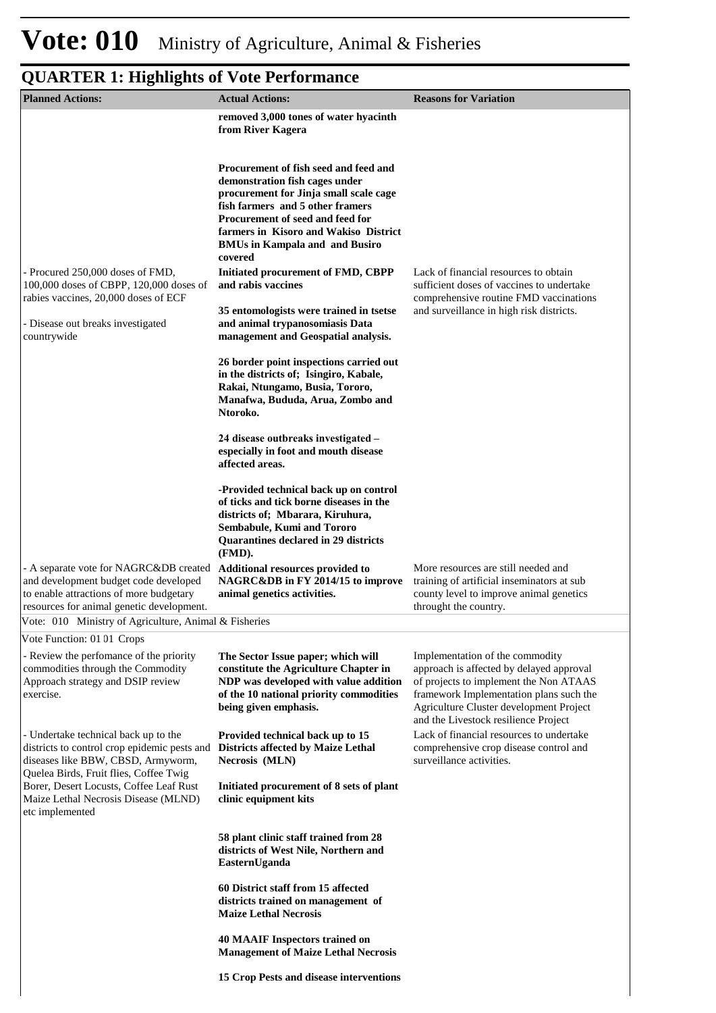| <b>Planned Actions:</b>                                                                                                                                                                                 | <b>Actual Actions:</b>                                                                                                                                                                                                                                                                                                                             | <b>Reasons for Variation</b>                                                                                                                                                                                                                        |
|---------------------------------------------------------------------------------------------------------------------------------------------------------------------------------------------------------|----------------------------------------------------------------------------------------------------------------------------------------------------------------------------------------------------------------------------------------------------------------------------------------------------------------------------------------------------|-----------------------------------------------------------------------------------------------------------------------------------------------------------------------------------------------------------------------------------------------------|
|                                                                                                                                                                                                         | removed 3,000 tones of water hyacinth                                                                                                                                                                                                                                                                                                              |                                                                                                                                                                                                                                                     |
|                                                                                                                                                                                                         | from River Kagera                                                                                                                                                                                                                                                                                                                                  |                                                                                                                                                                                                                                                     |
| - Procured 250,000 doses of FMD,<br>100,000 doses of CBPP, 120,000 doses of<br>rabies vaccines, 20,000 doses of ECF                                                                                     | Procurement of fish seed and feed and<br>demonstration fish cages under<br>procurement for Jinja small scale cage<br>fish farmers and 5 other framers<br>Procurement of seed and feed for<br>farmers in Kisoro and Wakiso District<br><b>BMUs in Kampala and and Busiro</b><br>covered<br>Initiated procurement of FMD, CBPP<br>and rabis vaccines | Lack of financial resources to obtain<br>sufficient doses of vaccines to undertake<br>comprehensive routine FMD vaccinations                                                                                                                        |
| - Disease out breaks investigated<br>countrywide                                                                                                                                                        | 35 entomologists were trained in tsetse<br>and animal trypanosomiasis Data<br>management and Geospatial analysis.                                                                                                                                                                                                                                  | and surveillance in high risk districts.                                                                                                                                                                                                            |
|                                                                                                                                                                                                         | 26 border point inspections carried out<br>in the districts of; Isingiro, Kabale,<br>Rakai, Ntungamo, Busia, Tororo,<br>Manafwa, Bududa, Arua, Zombo and<br>Ntoroko.                                                                                                                                                                               |                                                                                                                                                                                                                                                     |
|                                                                                                                                                                                                         | 24 disease outbreaks investigated –<br>especially in foot and mouth disease<br>affected areas.                                                                                                                                                                                                                                                     |                                                                                                                                                                                                                                                     |
|                                                                                                                                                                                                         | -Provided technical back up on control<br>of ticks and tick borne diseases in the<br>districts of; Mbarara, Kiruhura,<br>Sembabule, Kumi and Tororo<br>Quarantines declared in 29 districts<br>(FMD).                                                                                                                                              |                                                                                                                                                                                                                                                     |
| - A separate vote for NAGRC&DB created<br>and development budget code developed<br>to enable attractions of more budgetary<br>resources for animal genetic development.                                 | Additional resources provided to<br>NAGRC&DB in FY 2014/15 to improve<br>animal genetics activities.                                                                                                                                                                                                                                               | More resources are still needed and<br>training of artificial inseminators at sub<br>county level to improve animal genetics<br>throught the country.                                                                                               |
| Vote: 010 Ministry of Agriculture, Animal & Fisheries                                                                                                                                                   |                                                                                                                                                                                                                                                                                                                                                    |                                                                                                                                                                                                                                                     |
| Vote Function: 01 01 Crops                                                                                                                                                                              |                                                                                                                                                                                                                                                                                                                                                    |                                                                                                                                                                                                                                                     |
| - Review the perfomance of the priority<br>commodities through the Commodity<br>Approach strategy and DSIP review<br>exercise.                                                                          | The Sector Issue paper; which will<br>constitute the Agriculture Chapter in<br>NDP was developed with value addition<br>of the 10 national priority commodities<br>being given emphasis.                                                                                                                                                           | Implementation of the commodity<br>approach is affected by delayed approval<br>of projects to implement the Non ATAAS<br>framework Implementation plans such the<br>Agriculture Cluster development Project<br>and the Livestock resilience Project |
| - Undertake technical back up to the<br>districts to control crop epidemic pests and Districts affected by Maize Lethal<br>diseases like BBW, CBSD, Armyworm,<br>Quelea Birds, Fruit flies, Coffee Twig | Provided technical back up to 15<br>Necrosis (MLN)                                                                                                                                                                                                                                                                                                 | Lack of financial resources to undertake<br>comprehensive crop disease control and<br>surveillance activities.                                                                                                                                      |
| Borer, Desert Locusts, Coffee Leaf Rust<br>Maize Lethal Necrosis Disease (MLND)<br>etc implemented                                                                                                      | Initiated procurement of 8 sets of plant<br>clinic equipment kits                                                                                                                                                                                                                                                                                  |                                                                                                                                                                                                                                                     |
|                                                                                                                                                                                                         | 58 plant clinic staff trained from 28<br>districts of West Nile, Northern and<br>EasternUganda                                                                                                                                                                                                                                                     |                                                                                                                                                                                                                                                     |
|                                                                                                                                                                                                         | 60 District staff from 15 affected<br>districts trained on management of<br><b>Maize Lethal Necrosis</b>                                                                                                                                                                                                                                           |                                                                                                                                                                                                                                                     |
|                                                                                                                                                                                                         | <b>40 MAAIF Inspectors trained on</b><br><b>Management of Maize Lethal Necrosis</b>                                                                                                                                                                                                                                                                |                                                                                                                                                                                                                                                     |
|                                                                                                                                                                                                         | 15 Crop Pests and disease interventions                                                                                                                                                                                                                                                                                                            |                                                                                                                                                                                                                                                     |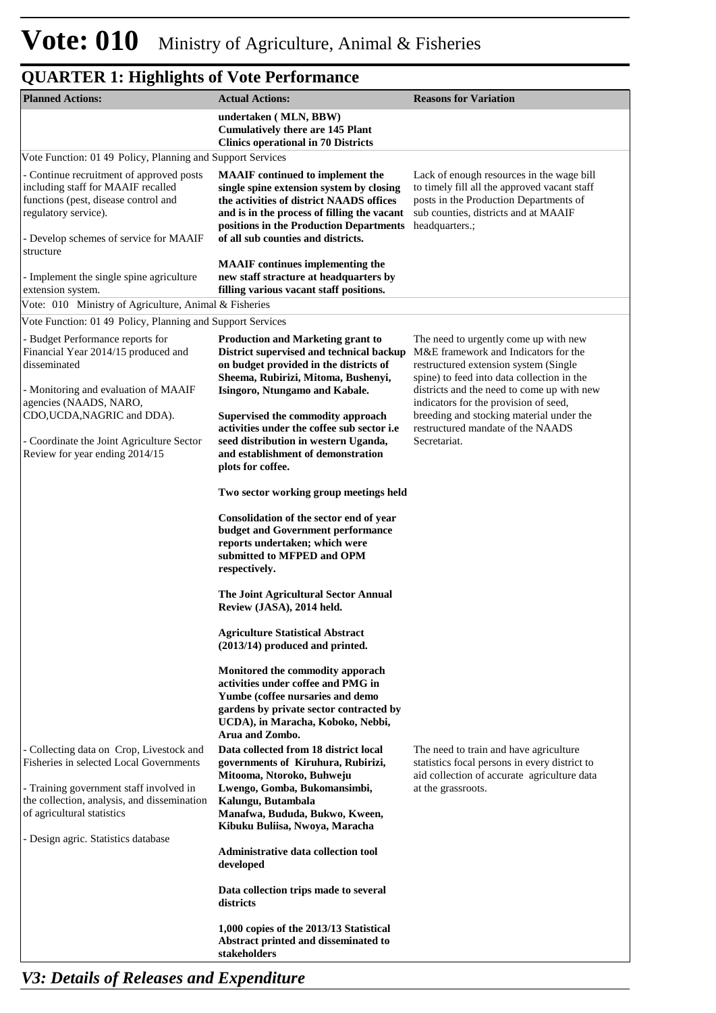| <b>Planned Actions:</b>                                                                                                                                                                  | <b>Actual Actions:</b>                                                                                                                                                                                                                                          | <b>Reasons for Variation</b>                                                                                                                                                                  |
|------------------------------------------------------------------------------------------------------------------------------------------------------------------------------------------|-----------------------------------------------------------------------------------------------------------------------------------------------------------------------------------------------------------------------------------------------------------------|-----------------------------------------------------------------------------------------------------------------------------------------------------------------------------------------------|
|                                                                                                                                                                                          | undertaken (MLN, BBW)<br><b>Cumulatively there are 145 Plant</b><br><b>Clinics operational in 70 Districts</b>                                                                                                                                                  |                                                                                                                                                                                               |
| Vote Function: 01 49 Policy, Planning and Support Services                                                                                                                               |                                                                                                                                                                                                                                                                 |                                                                                                                                                                                               |
| - Continue recruitment of approved posts<br>including staff for MAAIF recalled<br>functions (pest, disease control and<br>regulatory service).<br>- Develop schemes of service for MAAIF | <b>MAAIF</b> continued to implement the<br>single spine extension system by closing<br>the activities of district NAADS offices<br>and is in the process of filling the vacant<br>positions in the Production Departments<br>of all sub counties and districts. | Lack of enough resources in the wage bill<br>to timely fill all the approved vacant staff<br>posts in the Production Departments of<br>sub counties, districts and at MAAIF<br>headquarters.; |
| structure<br>- Implement the single spine agriculture<br>extension system.                                                                                                               | <b>MAAIF</b> continues implementing the<br>new staff stracture at headquarters by<br>filling various vacant staff positions.                                                                                                                                    |                                                                                                                                                                                               |
| Vote: 010 Ministry of Agriculture, Animal & Fisheries                                                                                                                                    |                                                                                                                                                                                                                                                                 |                                                                                                                                                                                               |
| Vote Function: 01 49 Policy, Planning and Support Services                                                                                                                               |                                                                                                                                                                                                                                                                 |                                                                                                                                                                                               |
| - Budget Performance reports for<br>Financial Year 2014/15 produced and<br>disseminated                                                                                                  | <b>Production and Marketing grant to</b><br>District supervised and technical backup<br>on budget provided in the districts of<br>Sheema, Rubirizi, Mitoma, Bushenyi,                                                                                           | The need to urgently come up with new<br>M&E framework and Indicators for the<br>restructured extension system (Single<br>spine) to feed into data collection in the                          |
| - Monitoring and evaluation of MAAIF<br>agencies (NAADS, NARO,<br>CDO,UCDA, NAGRIC and DDA).                                                                                             | Isingoro, Ntungamo and Kabale.<br>Supervised the commodity approach<br>activities under the coffee sub sector i.e                                                                                                                                               | districts and the need to come up with new<br>indicators for the provision of seed,<br>breeding and stocking material under the<br>restructured mandate of the NAADS                          |
| - Coordinate the Joint Agriculture Sector<br>Review for year ending 2014/15                                                                                                              | seed distribution in western Uganda,<br>and establishment of demonstration<br>plots for coffee.                                                                                                                                                                 | Secretariat.                                                                                                                                                                                  |
|                                                                                                                                                                                          | Two sector working group meetings held                                                                                                                                                                                                                          |                                                                                                                                                                                               |
|                                                                                                                                                                                          | Consolidation of the sector end of year<br>budget and Government performance<br>reports undertaken; which were<br>submitted to MFPED and OPM<br>respectively.                                                                                                   |                                                                                                                                                                                               |
|                                                                                                                                                                                          | The Joint Agricultural Sector Annual<br>Review (JASA), 2014 held.                                                                                                                                                                                               |                                                                                                                                                                                               |
|                                                                                                                                                                                          | <b>Agriculture Statistical Abstract</b><br>(2013/14) produced and printed.                                                                                                                                                                                      |                                                                                                                                                                                               |
|                                                                                                                                                                                          | Monitored the commodity apporach<br>activities under coffee and PMG in<br>Yumbe (coffee nursaries and demo<br>gardens by private sector contracted by<br>UCDA), in Maracha, Koboko, Nebbi,<br>Arua and Zombo.                                                   |                                                                                                                                                                                               |
| - Collecting data on Crop, Livestock and<br>Fisheries in selected Local Governments                                                                                                      | Data collected from 18 district local<br>governments of Kiruhura, Rubirizi,<br>Mitooma, Ntoroko, Buhweju                                                                                                                                                        | The need to train and have agriculture<br>statistics focal persons in every district to<br>aid collection of accurate agriculture data                                                        |
| - Training government staff involved in<br>the collection, analysis, and dissemination<br>of agricultural statistics<br>- Design agric. Statistics database                              | Lwengo, Gomba, Bukomansimbi,<br>Kalungu, Butambala<br>Manafwa, Bududa, Bukwo, Kween,<br>Kibuku Buliisa, Nwoya, Maracha                                                                                                                                          | at the grassroots.                                                                                                                                                                            |
|                                                                                                                                                                                          | Administrative data collection tool<br>developed                                                                                                                                                                                                                |                                                                                                                                                                                               |
|                                                                                                                                                                                          | Data collection trips made to several<br>districts                                                                                                                                                                                                              |                                                                                                                                                                                               |
|                                                                                                                                                                                          | 1,000 copies of the 2013/13 Statistical<br>Abstract printed and disseminated to<br>stakeholders                                                                                                                                                                 |                                                                                                                                                                                               |

*V3: Details of Releases and Expenditure*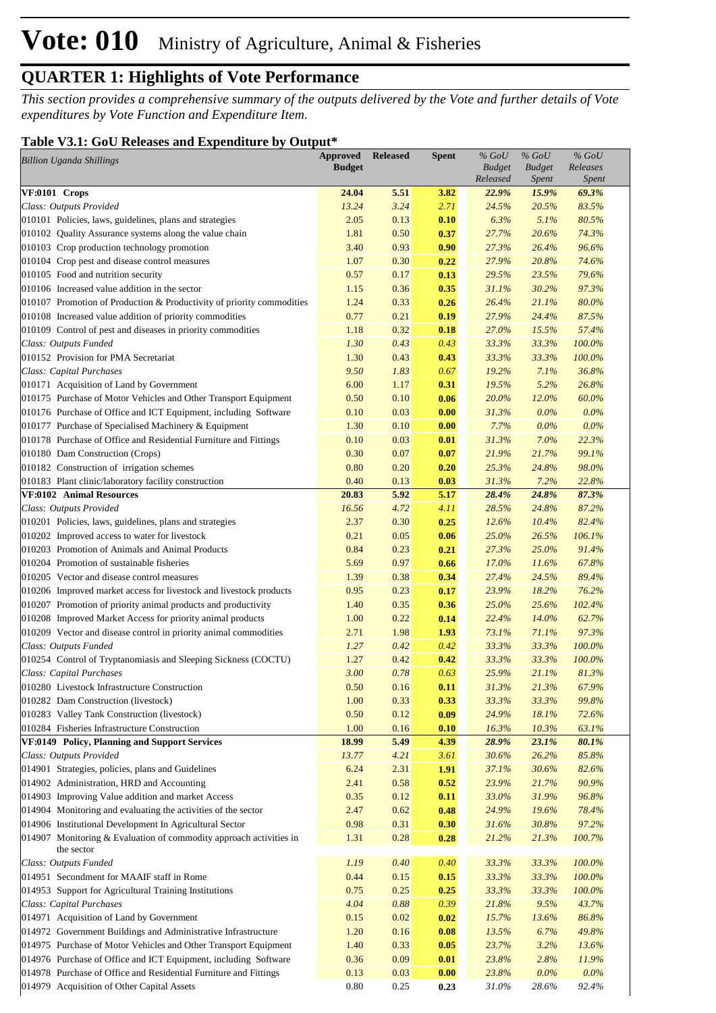*This section provides a comprehensive summary of the outputs delivered by the Vote and further details of Vote expenditures by Vote Function and Expenditure Item.*

#### **Table V3.1: GoU Releases and Expenditure by Output\***

| <b>Billion Uganda Shillings</b>                                                  | <b>Approved</b><br><b>Budget</b> | <b>Released</b> | <b>Spent</b> | $%$ GoU<br><b>Budget</b><br>Released | $%$ GoU<br><b>Budget</b><br><i>Spent</i> | $%$ GoU<br>Releases<br><b>Spent</b> |
|----------------------------------------------------------------------------------|----------------------------------|-----------------|--------------|--------------------------------------|------------------------------------------|-------------------------------------|
| VF:0101 Crops                                                                    | 24.04                            | 5.51            | 3.82         | 22.9%                                | 15.9%                                    | 69.3%                               |
| Class: Outputs Provided                                                          | 13.24                            | 3.24            | 2.71         | 24.5%                                | 20.5%                                    | 83.5%                               |
| 010101 Policies, laws, guidelines, plans and strategies                          | 2.05                             | 0.13            | 0.10         | 6.3%                                 | 5.1%                                     | 80.5%                               |
| 010102 Quality Assurance systems along the value chain                           | 1.81                             | 0.50            | 0.37         | 27.7%                                | 20.6%                                    | 74.3%                               |
| 010103 Crop production technology promotion                                      | 3.40                             | 0.93            | 0.90         | 27.3%                                | 26.4%                                    | 96.6%                               |
| 010104 Crop pest and disease control measures                                    | 1.07                             | 0.30            | 0.22         | 27.9%                                | 20.8%                                    | 74.6%                               |
| 010105 Food and nutrition security                                               | 0.57                             | 0.17            | 0.13         | 29.5%                                | 23.5%                                    | 79.6%                               |
| 010106 Increased value addition in the sector                                    | 1.15                             | 0.36            | 0.35         | 31.1%                                | 30.2%                                    | 97.3%                               |
| 010107 Promotion of Production & Productivity of priority commodities            | 1.24                             | 0.33            | 0.26         | 26.4%                                | 21.1%                                    | 80.0%                               |
| 010108 Increased value addition of priority commodities                          | 0.77                             | 0.21            | 0.19         | 27.9%                                | 24.4%                                    | 87.5%                               |
| 010109 Control of pest and diseases in priority commodities                      | 1.18                             | 0.32            | 0.18         | 27.0%                                | 15.5%                                    | 57.4%                               |
| Class: Outputs Funded                                                            | 1.30                             | 0.43            | 0.43         | 33.3%                                | 33.3%                                    | 100.0%                              |
| 010152 Provision for PMA Secretariat                                             | 1.30                             | 0.43            | 0.43         | 33.3%                                | 33.3%                                    | 100.0%                              |
| Class: Capital Purchases                                                         | 9.50                             | 1.83            | 0.67         | 19.2%                                | 7.1%                                     | 36.8%                               |
| 010171 Acquisition of Land by Government                                         | 6.00                             | 1.17            | 0.31         | 19.5%                                | 5.2%                                     | 26.8%                               |
| 010175 Purchase of Motor Vehicles and Other Transport Equipment                  | 0.50                             | 0.10            | 0.06         | 20.0%                                | 12.0%                                    | 60.0%                               |
| 010176 Purchase of Office and ICT Equipment, including Software                  | 0.10                             | 0.03            | 0.00         | 31.3%                                | $0.0\%$                                  | 0.0%                                |
| 010177 Purchase of Specialised Machinery & Equipment                             | 1.30                             | 0.10            | 0.00         | 7.7%                                 | $0.0\%$                                  | 0.0%                                |
| 010178 Purchase of Office and Residential Furniture and Fittings                 | 0.10                             | 0.03            | 0.01         | 31.3%                                | 7.0%                                     | 22.3%                               |
| 010180 Dam Construction (Crops)                                                  | 0.30                             | 0.07            | 0.07         | 21.9%                                | 21.7%                                    | 99.1%                               |
| 010182 Construction of irrigation schemes                                        | 0.80                             | 0.20            | 0.20         | 25.3%                                | 24.8%                                    | 98.0%                               |
| 010183 Plant clinic/laboratory facility construction                             | 0.40                             | 0.13            | 0.03         | 31.3%                                | 7.2%                                     | 22.8%                               |
| VF:0102 Animal Resources                                                         | 20.83                            | 5.92            | 5.17         | 28.4%                                | 24.8%                                    | 87.3%                               |
| Class: Outputs Provided                                                          | 16.56                            | 4.72            | 4.11         | 28.5%                                | 24.8%                                    | 87.2%                               |
| 010201 Policies, laws, guidelines, plans and strategies                          | 2.37                             | 0.30            | 0.25         | 12.6%                                | 10.4%                                    | 82.4%                               |
| 010202 Improved access to water for livestock                                    | 0.21                             | 0.05            | 0.06         | 25.0%                                | 26.5%                                    | 106.1%                              |
| 010203 Promotion of Animals and Animal Products                                  | 0.84                             | 0.23            | 0.21         | 27.3%                                | 25.0%                                    | 91.4%                               |
| 010204 Promotion of sustainable fisheries                                        | 5.69                             | 0.97            | 0.66         | 17.0%                                | 11.6%                                    | 67.8%                               |
| 010205 Vector and disease control measures                                       | 1.39                             | 0.38            | 0.34         | 27.4%                                | 24.5%                                    | 89.4%                               |
| 010206 Improved market access for livestock and livestock products               | 0.95                             | 0.23            | 0.17         | 23.9%                                | 18.2%                                    | 76.2%                               |
| 010207 Promotion of priority animal products and productivity                    | 1.40                             | 0.35            | 0.36         | 25.0%                                | 25.6%                                    | 102.4%                              |
| 010208 Improved Market Access for priority animal products                       | 1.00                             | 0.22            | 0.14         | 22.4%                                | 14.0%                                    | 62.7%                               |
| 010209 Vector and disease control in priority animal commodities                 | 2.71                             | 1.98            | 1.93         | 73.1%                                | 71.1%                                    | 97.3%                               |
| Class: Outputs Funded                                                            | 1.27                             | 0.42            | 0.42         | 33.3%                                | 33.3%                                    | 100.0%                              |
| 010254 Control of Tryptanomiasis and Sleeping Sickness (COCTU)                   | 1.27                             | 0.42            | 0.42         | 33.3%                                | 33.3%                                    | 100.0%                              |
| Class: Capital Purchases                                                         | 3.00                             | 0.78            | 0.63         | 25.9%                                | 21.1%                                    | 81.3%                               |
| 010280 Livestock Infrastructure Construction                                     | 0.50                             | 0.16            | 0.11         | 31.3%                                | 21.3%                                    | 67.9%                               |
| 010282 Dam Construction (livestock)                                              | 1.00                             | 0.33            | 0.33         | 33.3%                                | 33.3%                                    | 99.8%                               |
| 010283 Valley Tank Construction (livestock)                                      | 0.50                             | 0.12            | 0.09         | 24.9%                                | 18.1%                                    | 72.6%                               |
| 010284 Fisheries Infrastructure Construction                                     | 1.00                             | 0.16            | 0.10         | 16.3%                                | 10.3%                                    | 63.1%                               |
| VF:0149 Policy, Planning and Support Services                                    | 18.99                            | 5.49            | 4.39         | 28.9%                                | 23.1%                                    | 80.1%                               |
| Class: Outputs Provided                                                          | 13.77                            | 4.21            | 3.61         | 30.6%                                | 26.2%                                    | 85.8%                               |
| 014901 Strategies, policies, plans and Guidelines                                | 6.24                             | 2.31            | 1.91         | 37.1%                                | 30.6%                                    | 82.6%                               |
| 014902 Administration, HRD and Accounting                                        | 2.41                             | 0.58            | 0.52         | 23.9%                                | 21.7%                                    | 90.9%                               |
| 014903 Improving Value addition and market Access                                | 0.35                             | 0.12            | 0.11         | 33.0%                                | 31.9%                                    | 96.8%                               |
| 014904 Monitoring and evaluating the activities of the sector                    | 2.47                             | 0.62            | 0.48         | 24.9%                                | 19.6%                                    | 78.4%                               |
| 014906 Institutional Development In Agricultural Sector                          | 0.98                             | 0.31            | 0.30         | 31.6%                                | 30.8%                                    | 97.2%                               |
| 014907 Monitoring & Evaluation of commodity approach activities in<br>the sector | 1.31                             | 0.28            | 0.28         | 21.2%                                | 21.3%                                    | 100.7%                              |
| Class: Outputs Funded                                                            | 1.19                             | 0.40            | 0.40         | 33.3%                                | 33.3%                                    | $100.0\%$                           |
| 014951 Secondment for MAAIF staff in Rome                                        | 0.44                             | 0.15            | 0.15         | 33.3%                                | 33.3%                                    | 100.0%                              |
| 014953 Support for Agricultural Training Institutions                            | 0.75                             | 0.25            | 0.25         | 33.3%                                | 33.3%                                    | 100.0%                              |
| Class: Capital Purchases                                                         | 4.04                             | 0.88            | 0.39         | 21.8%                                | 9.5%                                     | 43.7%                               |
| 014971 Acquisition of Land by Government                                         | 0.15                             | 0.02            | 0.02         | 15.7%                                | 13.6%                                    | 86.8%                               |
| 014972 Government Buildings and Administrative Infrastructure                    | 1.20                             | 0.16            | 0.08         | 13.5%                                | 6.7%                                     | 49.8%                               |
| 014975 Purchase of Motor Vehicles and Other Transport Equipment                  | 1.40                             | 0.33            | 0.05         | 23.7%                                | 3.2%                                     | 13.6%                               |
| 014976 Purchase of Office and ICT Equipment, including Software                  | 0.36                             | 0.09            | 0.01         | 23.8%                                | 2.8%                                     | 11.9%                               |
| 014978 Purchase of Office and Residential Furniture and Fittings                 | 0.13                             | 0.03            | 0.00         | 23.8%                                | 0.0%                                     | $0.0\%$                             |
| 014979 Acquisition of Other Capital Assets                                       | $0.80\,$                         | 0.25            | 0.23         | 31.0%                                | 28.6%                                    | 92.4%                               |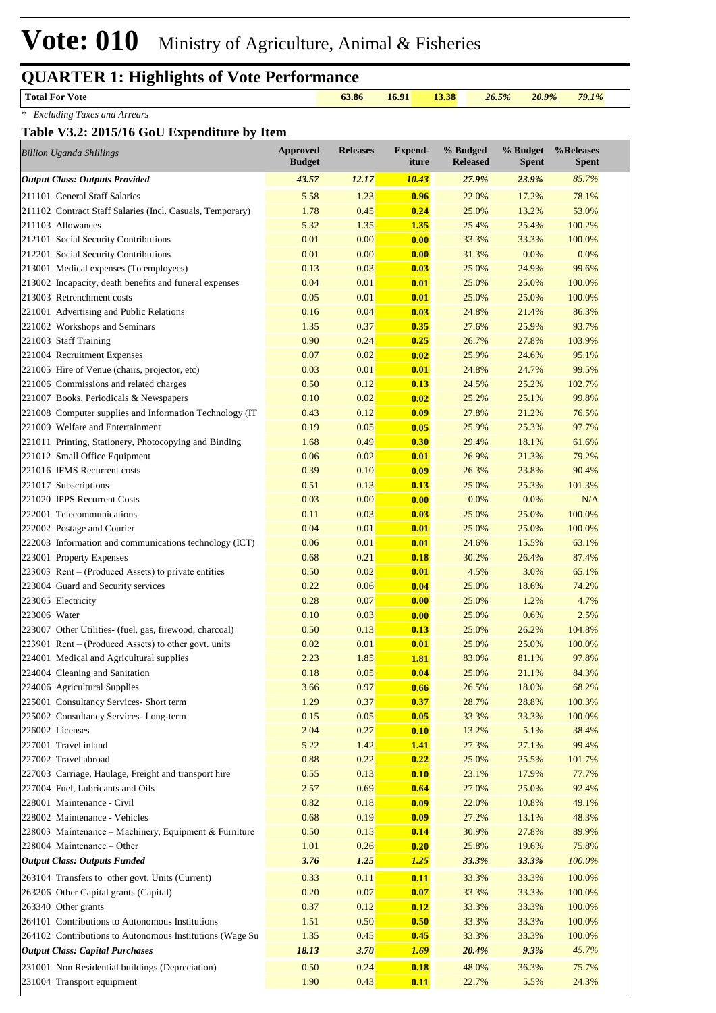#### **Total For Vote 63.86 16.91 13.38** *26.5% 20.9% 79.1%*

*\* Excluding Taxes and Arrears*

#### **Table V3.2: 2015/16 GoU Expenditure by Item**

| <b>Billion Uganda Shillings</b>                                            | <b>Approved</b><br><b>Budget</b> | <b>Releases</b> | Expend-<br>iture    | % Budged<br><b>Released</b> | % Budget<br><b>Spent</b> | %Releases<br><b>Spent</b> |
|----------------------------------------------------------------------------|----------------------------------|-----------------|---------------------|-----------------------------|--------------------------|---------------------------|
| <b>Output Class: Outputs Provided</b>                                      | 43.57                            | 12.17           | <b>10.43</b>        | 27.9%                       | 23.9%                    | 85.7%                     |
| 211101 General Staff Salaries                                              | 5.58                             | 1.23            | 0.96                | 22.0%                       | 17.2%                    | 78.1%                     |
| 211102 Contract Staff Salaries (Incl. Casuals, Temporary)                  | 1.78                             | 0.45            | 0.24                | 25.0%                       | 13.2%                    | 53.0%                     |
| 211103 Allowances                                                          | 5.32                             | 1.35            | 1.35                | 25.4%                       | 25.4%                    | 100.2%                    |
| 212101 Social Security Contributions                                       | 0.01                             | 0.00            | 0.00                | 33.3%                       | 33.3%                    | 100.0%                    |
| 212201 Social Security Contributions                                       | 0.01                             | 0.00            | 0.00                | 31.3%                       | 0.0%                     | 0.0%                      |
| 213001 Medical expenses (To employees)                                     | 0.13                             | 0.03            | 0.03                | 25.0%                       | 24.9%                    | 99.6%                     |
| 213002 Incapacity, death benefits and funeral expenses                     | 0.04                             | 0.01            | 0.01                | 25.0%                       | 25.0%                    | 100.0%                    |
| 213003 Retrenchment costs                                                  | 0.05                             | 0.01            | 0.01                | 25.0%                       | 25.0%                    | 100.0%                    |
| 221001 Advertising and Public Relations                                    | 0.16                             | 0.04            | 0.03                | 24.8%                       | 21.4%                    | 86.3%                     |
| 221002 Workshops and Seminars                                              | 1.35                             | 0.37            | 0.35                | 27.6%                       | 25.9%                    | 93.7%                     |
| 221003 Staff Training                                                      | 0.90                             | 0.24            | 0.25                | 26.7%                       | 27.8%                    | 103.9%                    |
| 221004 Recruitment Expenses                                                | 0.07                             | 0.02            | 0.02                | 25.9%                       | 24.6%                    | 95.1%                     |
| 221005 Hire of Venue (chairs, projector, etc)                              | 0.03                             | 0.01            | 0.01                | 24.8%                       | 24.7%                    | 99.5%                     |
| 221006 Commissions and related charges                                     | 0.50                             | 0.12            | 0.13                | 24.5%                       | 25.2%                    | 102.7%                    |
| 221007 Books, Periodicals & Newspapers                                     | 0.10                             | 0.02            | 0.02                | 25.2%                       | 25.1%                    | 99.8%                     |
| 221008 Computer supplies and Information Technology (IT                    | 0.43                             | 0.12            | 0.09                | 27.8%                       | 21.2%                    | 76.5%                     |
| 221009 Welfare and Entertainment                                           | 0.19                             | 0.05            | 0.05                | 25.9%                       | 25.3%                    | 97.7%                     |
| 221011 Printing, Stationery, Photocopying and Binding                      | 1.68                             | 0.49            | 0.30                | 29.4%                       | 18.1%                    | 61.6%                     |
| 221012 Small Office Equipment                                              | 0.06                             | 0.02            | 0.01                | 26.9%                       | 21.3%                    | 79.2%                     |
| 221016 IFMS Recurrent costs                                                | 0.39                             | 0.10            | 0.09                | 26.3%                       | 23.8%                    | 90.4%                     |
| 221017 Subscriptions                                                       | 0.51                             | 0.13            | 0.13                | 25.0%                       | 25.3%                    | 101.3%                    |
| 221020 IPPS Recurrent Costs                                                | 0.03                             | 0.00            | 0.00                | 0.0%                        | 0.0%                     | N/A                       |
| 222001 Telecommunications                                                  | 0.11                             | 0.03            | 0.03                | 25.0%                       | 25.0%                    | 100.0%                    |
| 222002 Postage and Courier                                                 | 0.04                             | 0.01            | 0.01                | 25.0%                       | 25.0%                    | 100.0%                    |
| 222003 Information and communications technology (ICT)                     | 0.06                             | 0.01            | 0.01                | 24.6%                       | 15.5%                    | 63.1%                     |
| 223001 Property Expenses                                                   | 0.68                             | 0.21            | 0.18                | 30.2%                       | 26.4%                    | 87.4%                     |
| $223003$ Rent – (Produced Assets) to private entities                      | 0.50                             | 0.02            | 0.01                | 4.5%                        | 3.0%                     | 65.1%                     |
| 223004 Guard and Security services                                         | 0.22                             | 0.06            | 0.04                | 25.0%                       | 18.6%                    | 74.2%                     |
| 223005 Electricity                                                         | 0.28                             | 0.07            | 0.00                | 25.0%                       | 1.2%                     | 4.7%                      |
| 223006 Water                                                               | 0.10                             | 0.03            | 0.00                | 25.0%                       | 0.6%                     | 2.5%                      |
| 223007 Other Utilities- (fuel, gas, firewood, charcoal)                    | 0.50                             | 0.13            | 0.13                | 25.0%                       | 26.2%                    | 104.8%                    |
| 223901 Rent – (Produced Assets) to other govt. units                       | 0.02                             | 0.01<br>1.85    | 0.01                | 25.0%<br>83.0%              | 25.0%                    | 100.0%                    |
| 224001 Medical and Agricultural supplies<br>224004 Cleaning and Sanitation | 2.23                             | 0.05            | <b>1.81</b><br>0.04 |                             | 81.1%                    | 97.8%<br>84.3%            |
| 224006 Agricultural Supplies                                               | 0.18<br>3.66                     | 0.97            |                     | 25.0%<br>26.5%              | 21.1%                    |                           |
| 225001 Consultancy Services- Short term                                    | 1.29                             | 0.37            | 0.66<br>0.37        | 28.7%                       | 18.0%<br>28.8%           | 68.2%<br>100.3%           |
| 225002 Consultancy Services-Long-term                                      | 0.15                             | 0.05            | 0.05                | 33.3%                       | 33.3%                    | 100.0%                    |
| 226002 Licenses                                                            | 2.04                             | 0.27            | 0.10                | 13.2%                       | 5.1%                     | 38.4%                     |
| 227001 Travel inland                                                       | 5.22                             | 1.42            | <b>1.41</b>         | 27.3%                       | 27.1%                    | 99.4%                     |
| 227002 Travel abroad                                                       | 0.88                             | 0.22            | 0.22                | 25.0%                       | 25.5%                    | 101.7%                    |
| 227003 Carriage, Haulage, Freight and transport hire                       | 0.55                             | 0.13            | 0.10                | 23.1%                       | 17.9%                    | 77.7%                     |
| 227004 Fuel, Lubricants and Oils                                           | 2.57                             | 0.69            | 0.64                | 27.0%                       | 25.0%                    | 92.4%                     |
| 228001 Maintenance - Civil                                                 | 0.82                             | 0.18            | 0.09                | 22.0%                       | 10.8%                    | 49.1%                     |
| 228002 Maintenance - Vehicles                                              | 0.68                             | 0.19            | 0.09                | 27.2%                       | 13.1%                    | 48.3%                     |
| 228003 Maintenance - Machinery, Equipment & Furniture                      | 0.50                             | 0.15            | 0.14                | 30.9%                       | 27.8%                    | 89.9%                     |
| 228004 Maintenance - Other                                                 | 1.01                             | 0.26            | 0.20                | 25.8%                       | 19.6%                    | 75.8%                     |
| <b>Output Class: Outputs Funded</b>                                        | 3.76                             | 1.25            | 1.25                | 33.3%                       | 33.3%                    | 100.0%                    |
| 263104 Transfers to other govt. Units (Current)                            | 0.33                             | 0.11            | 0.11                | 33.3%                       | 33.3%                    | 100.0%                    |
| 263206 Other Capital grants (Capital)                                      | 0.20                             | 0.07            | 0.07                | 33.3%                       | 33.3%                    | 100.0%                    |
|                                                                            |                                  |                 |                     |                             |                          |                           |
| 263340 Other grants<br>264101 Contributions to Autonomous Institutions     | 0.37<br>1.51                     | 0.12<br>0.50    | 0.12                | 33.3%<br>33.3%              | 33.3%<br>33.3%           | 100.0%<br>100.0%          |
| 264102 Contributions to Autonomous Institutions (Wage Su                   | 1.35                             | 0.45            | 0.50                | 33.3%                       | 33.3%                    | 100.0%                    |
| <b>Output Class: Capital Purchases</b>                                     | 18.13                            | 3.70            | 0.45<br>1.69        | 20.4%                       | 9.3%                     | 45.7%                     |
|                                                                            |                                  |                 |                     |                             |                          |                           |
| 231001 Non Residential buildings (Depreciation)                            | 0.50                             | 0.24            | 0.18                | 48.0%                       | 36.3%                    | 75.7%                     |
| 231004 Transport equipment                                                 | 1.90                             | 0.43            | 0.11                | 22.7%                       | 5.5%                     | 24.3%                     |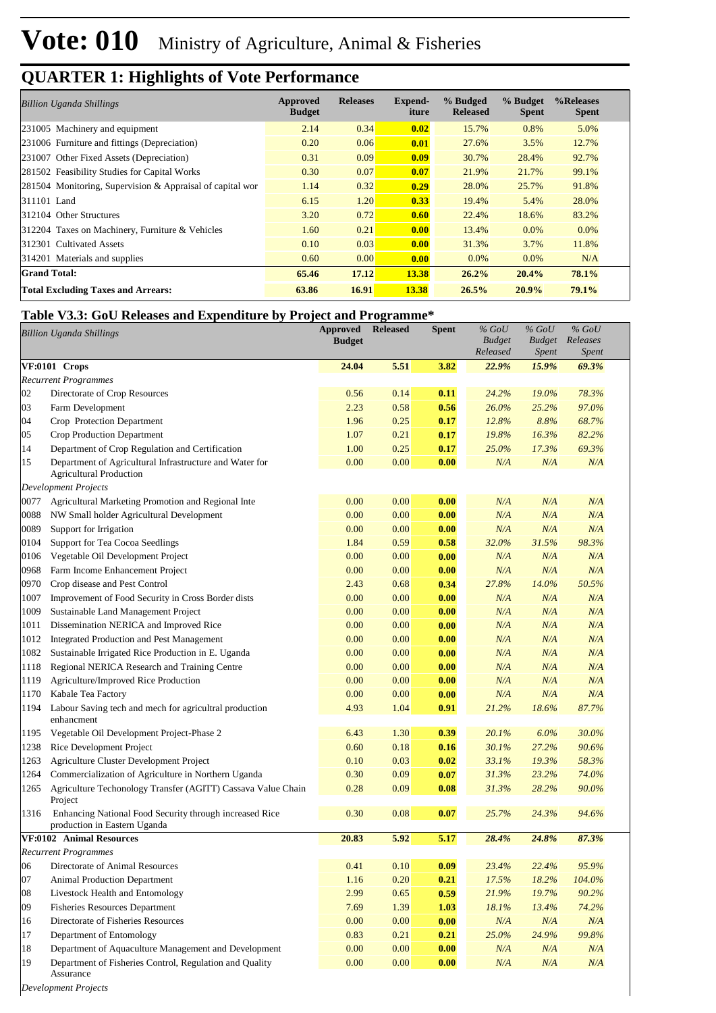| <b>Billion Uganda Shillings</b>                           | Approved<br><b>Budget</b> | <b>Releases</b> | Expend-<br>iture | % Budged<br><b>Released</b> | % Budget<br><b>Spent</b> | %Releases<br><b>Spent</b> |
|-----------------------------------------------------------|---------------------------|-----------------|------------------|-----------------------------|--------------------------|---------------------------|
| 231005 Machinery and equipment                            | 2.14                      | 0.34            | 0.02             | 15.7%                       | 0.8%                     | 5.0%                      |
| 231006 Furniture and fittings (Depreciation)              | 0.20                      | 0.06            | 0.01             | 27.6%                       | 3.5%                     | 12.7%                     |
| 231007 Other Fixed Assets (Depreciation)                  | 0.31                      | 0.09            | 0.09             | 30.7%                       | 28.4%                    | 92.7%                     |
| 281502 Feasibility Studies for Capital Works              | 0.30                      | 0.07            | 0.07             | 21.9%                       | 21.7%                    | 99.1%                     |
| 281504 Monitoring, Supervision & Appraisal of capital wor | 1.14                      | 0.32            | 0.29             | 28.0%                       | 25.7%                    | 91.8%                     |
| 311101 Land                                               | 6.15                      | 1.20            | 0.33             | 19.4%                       | 5.4%                     | 28.0%                     |
| 312104 Other Structures                                   | 3.20                      | 0.72            | 0.60             | 22.4%                       | 18.6%                    | 83.2%                     |
| 312204 Taxes on Machinery, Furniture & Vehicles           | 1.60                      | 0.21            | 0.00             | 13.4%                       | $0.0\%$                  | $0.0\%$                   |
| 312301 Cultivated Assets                                  | 0.10                      | 0.03            | 0.00             | 31.3%                       | 3.7%                     | 11.8%                     |
| 314201 Materials and supplies                             | 0.60                      | 0.00            | 0.00             | 0.0%                        | $0.0\%$                  | N/A                       |
| <b>Grand Total:</b>                                       | 65.46                     | 17.12           | 13.38            | 26.2%                       | 20.4%                    | 78.1%                     |
| <b>Total Excluding Taxes and Arrears:</b>                 | 63.86                     | 16.91           | 13.38            | 26.5%                       | 20.9%                    | 79.1%                     |

#### **Table V3.3: GoU Releases and Expenditure by Project and Programme\***

|                                 | Table <i>v5</i> .5. Goo Kertases and Expenditure by Froject and Frogramme                 |               |                 |              |               |               |           |  |
|---------------------------------|-------------------------------------------------------------------------------------------|---------------|-----------------|--------------|---------------|---------------|-----------|--|
| <b>Billion Uganda Shillings</b> |                                                                                           | Approved      | <b>Released</b> | <b>Spent</b> | $%$ GoU       | $%$ GoU       | $\%$ GoU  |  |
|                                 |                                                                                           | <b>Budget</b> |                 |              | <b>Budget</b> | <b>Budget</b> | Releases  |  |
|                                 |                                                                                           |               |                 |              | Released      | <i>Spent</i>  | Spent     |  |
|                                 | VF:0101 Crops                                                                             | 24.04         | 5.51            | 3.82         | 22.9%         | 15.9%         | 69.3%     |  |
|                                 | <b>Recurrent Programmes</b>                                                               |               |                 |              |               |               |           |  |
| 02                              | Directorate of Crop Resources                                                             | 0.56          | 0.14            | 0.11         | 24.2%         | 19.0%         | 78.3%     |  |
| 03                              | Farm Development                                                                          | 2.23          | 0.58            | 0.56         | 26.0%         | 25.2%         | 97.0%     |  |
| 04                              | Crop Protection Department                                                                | 1.96          | 0.25            | 0.17         | 12.8%         | 8.8%          | 68.7%     |  |
| 05                              | Crop Production Department                                                                | 1.07          | 0.21            | 0.17         | 19.8%         | 16.3%         | 82.2%     |  |
| 14                              | Department of Crop Regulation and Certification                                           | 1.00          | 0.25            | 0.17         | 25.0%         | 17.3%         | 69.3%     |  |
| 15                              | Department of Agricultural Infrastructure and Water for<br><b>Agricultural Production</b> | 0.00          | 0.00            | 0.00         | N/A           | N/A           | N/A       |  |
|                                 | <b>Development Projects</b>                                                               |               |                 |              |               |               |           |  |
| 0077                            | Agricultural Marketing Promotion and Regional Inte                                        | 0.00          | 0.00            | 0.00         | N/A           | N/A           | N/A       |  |
| 0088                            | NW Small holder Agricultural Development                                                  | 0.00          | 0.00            | 0.00         | N/A           | N/A           | N/A       |  |
| 0089                            | Support for Irrigation                                                                    | 0.00          | 0.00            | 0.00         | N/A           | N/A           | N/A       |  |
| 0104                            | Support for Tea Cocoa Seedlings                                                           | 1.84          | 0.59            | 0.58         | 32.0%         | 31.5%         | 98.3%     |  |
| 0106                            | Vegetable Oil Development Project                                                         | 0.00          | 0.00            | 0.00         | N/A           | N/A           | N/A       |  |
| 0968                            | Farm Income Enhancement Project                                                           | 0.00          | 0.00            | 0.00         | N/A           | N/A           | N/A       |  |
| 0970                            | Crop disease and Pest Control                                                             | 2.43          | 0.68            | 0.34         | 27.8%         | 14.0%         | 50.5%     |  |
| 1007                            | Improvement of Food Security in Cross Border dists                                        | 0.00          | 0.00            | 0.00         | N/A           | N/A           | N/A       |  |
| 1009                            | Sustainable Land Management Project                                                       | 0.00          | 0.00            | 0.00         | N/A           | N/A           | N/A       |  |
| 1011                            | Dissemination NERICA and Improved Rice                                                    | 0.00          | 0.00            | 0.00         | N/A           | N/A           | N/A       |  |
| 1012                            | Integrated Production and Pest Management                                                 | 0.00          | 0.00            | 0.00         | N/A           | N/A           | N/A       |  |
| 1082                            | Sustainable Irrigated Rice Production in E. Uganda                                        | 0.00          | 0.00            | 0.00         | N/A           | N/A           | N/A       |  |
| 1118                            | Regional NERICA Research and Training Centre                                              | 0.00          | 0.00            | 0.00         | N/A           | N/A           | N/A       |  |
| 1119                            | Agriculture/Improved Rice Production                                                      | 0.00          | 0.00            | 0.00         | N/A           | N/A           | N/A       |  |
| 1170                            | Kabale Tea Factory                                                                        | 0.00          | 0.00            | 0.00         | N/A           | N/A           | N/A       |  |
| 1194                            | Labour Saving tech and mech for agricultral production<br>enhancment                      | 4.93          | 1.04            | 0.91         | 21.2%         | 18.6%         | 87.7%     |  |
| 1195                            | Vegetable Oil Development Project-Phase 2                                                 | 6.43          | 1.30            | 0.39         | 20.1%         | 6.0%          | 30.0%     |  |
| 1238                            | Rice Development Project                                                                  | 0.60          | 0.18            | 0.16         | 30.1%         | 27.2%         | 90.6%     |  |
| 1263                            | Agriculture Cluster Development Project                                                   | 0.10          | 0.03            | 0.02         | 33.1%         | 19.3%         | 58.3%     |  |
| 1264                            | Commercialization of Agriculture in Northern Uganda                                       | 0.30          | 0.09            | 0.07         | 31.3%         | 23.2%         | 74.0%     |  |
| 1265                            | Agriculture Techonology Transfer (AGITT) Cassava Value Chain                              | 0.28          | 0.09            | 0.08         | 31.3%         | 28.2%         | 90.0%     |  |
|                                 | Project                                                                                   |               |                 |              |               |               |           |  |
| 1316                            | Enhancing National Food Security through increased Rice                                   | 0.30          | 0.08            | 0.07         | 25.7%         | 24.3%         | 94.6%     |  |
|                                 | production in Eastern Uganda                                                              |               |                 |              |               |               |           |  |
|                                 | VF:0102 Animal Resources                                                                  | 20.83         | 5.92            | 5.17         | 28.4%         | 24.8%         | 87.3%     |  |
|                                 | <b>Recurrent Programmes</b>                                                               |               |                 |              |               |               |           |  |
| 06                              | Directorate of Animal Resources                                                           | 0.41          | 0.10            | 0.09         | 23.4%         | 22.4%         | 95.9%     |  |
| 07                              | Animal Production Department                                                              | 1.16          | 0.20            | 0.21         | 17.5%         | 18.2%         | 104.0%    |  |
| 08                              | Livestock Health and Entomology                                                           | 2.99          | 0.65            | 0.59         | 21.9%         | 19.7%         | 90.2%     |  |
| 09                              | <b>Fisheries Resources Department</b>                                                     | 7.69          | 1.39            | 1.03         | 18.1%         | 13.4%         | 74.2%     |  |
| 16                              | Directorate of Fisheries Resources                                                        | 0.00          | 0.00            | 0.00         | N/A           | N/A           | $N\!/\!A$ |  |
| $17\,$                          | Department of Entomology                                                                  | 0.83          | 0.21            | 0.21         | 25.0%         | 24.9%         | 99.8%     |  |
| $18\,$                          | Department of Aquaculture Management and Development                                      | 0.00          | 0.00            | 0.00         | N/A           | N/A           | $N\!/\!A$ |  |
| 19                              | Department of Fisheries Control, Regulation and Quality                                   | $0.00\,$      | 0.00            | 0.00         | N/A           | N/A           | N/A       |  |
|                                 | Assurance                                                                                 |               |                 |              |               |               |           |  |

*Development Projects*